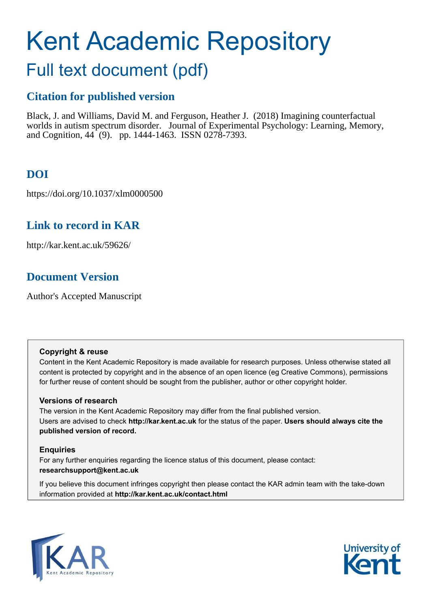# Kent Academic Repository

## Full text document (pdf)

## **Citation for published version**

Black, J. and Williams, David M. and Ferguson, Heather J. (2018) Imagining counterfactual worlds in autism spectrum disorder. Journal of Experimental Psychology: Learning, Memory, and Cognition, 44 (9). pp. 1444-1463. ISSN 0278-7393.

## **DOI**

https://doi.org/10.1037/xlm0000500

## **Link to record in KAR**

http://kar.kent.ac.uk/59626/

## **Document Version**

Author's Accepted Manuscript

#### **Copyright & reuse**

Content in the Kent Academic Repository is made available for research purposes. Unless otherwise stated all content is protected by copyright and in the absence of an open licence (eg Creative Commons), permissions for further reuse of content should be sought from the publisher, author or other copyright holder.

#### **Versions of research**

The version in the Kent Academic Repository may differ from the final published version. Users are advised to check **http://kar.kent.ac.uk** for the status of the paper. **Users should always cite the published version of record.**

#### **Enquiries**

For any further enquiries regarding the licence status of this document, please contact: **researchsupport@kent.ac.uk**

If you believe this document infringes copyright then please contact the KAR admin team with the take-down information provided at **http://kar.kent.ac.uk/contact.html**



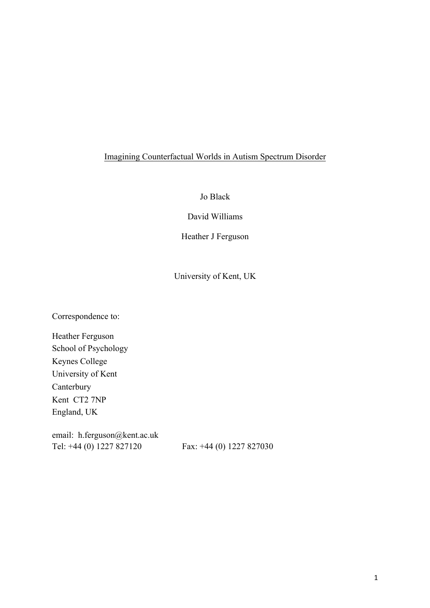## Imagining Counterfactual Worlds in Autism Spectrum Disorder

Jo Black

David Williams

Heather J Ferguson

University of Kent, UK

Correspondence to:

Heather Ferguson School of Psychology Keynes College University of Kent Canterbury Kent CT2 7NP England, UK

email: h.ferguson@kent.ac.uk Tel: +44 (0) 1227 827120 Fax: +44 (0) 1227 827030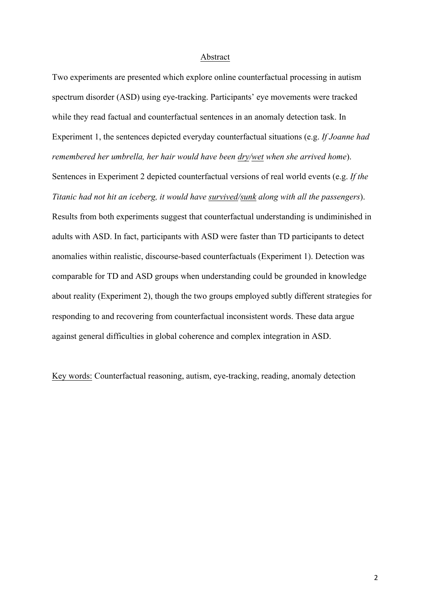#### Abstract

Two experiments are presented which explore online counterfactual processing in autism spectrum disorder (ASD) using eye-tracking. Participants' eye movements were tracked while they read factual and counterfactual sentences in an anomaly detection task. In Experiment 1, the sentences depicted everyday counterfactual situations (e.g. *If Joanne had remembered her umbrella, her hair would have been dry/wet when she arrived home*). Sentences in Experiment 2 depicted counterfactual versions of real world events (e.g. *If the Titanic had not hit an iceberg, it would have survived/sunk along with all the passengers*). Results from both experiments suggest that counterfactual understanding is undiminished in adults with ASD. In fact, participants with ASD were faster than TD participants to detect anomalies within realistic, discourse-based counterfactuals (Experiment 1). Detection was comparable for TD and ASD groups when understanding could be grounded in knowledge about reality (Experiment 2), though the two groups employed subtly different strategies for responding to and recovering from counterfactual inconsistent words. These data argue against general difficulties in global coherence and complex integration in ASD.

Key words: Counterfactual reasoning, autism, eye-tracking, reading, anomaly detection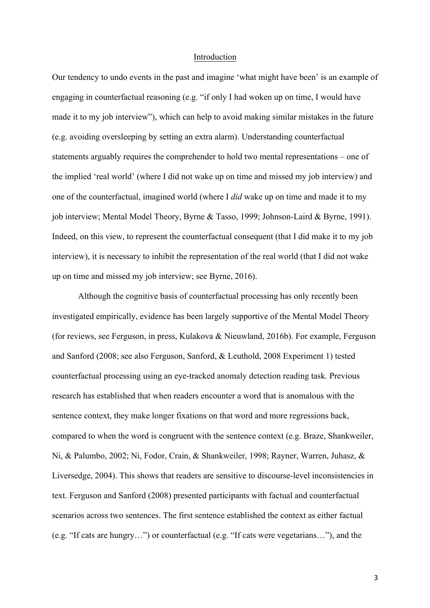#### Introduction

Our tendency to undo events in the past and imagine 'what might have been' is an example of engaging in counterfactual reasoning (e.g. "if only I had woken up on time, I would have made it to my job interview"), which can help to avoid making similar mistakes in the future (e.g. avoiding oversleeping by setting an extra alarm). Understanding counterfactual statements arguably requires the comprehender to hold two mental representations – one of the implied 'real world' (where I did not wake up on time and missed my job interview) and one of the counterfactual, imagined world (where I *did* wake up on time and made it to my job interview; Mental Model Theory, Byrne & Tasso, 1999; Johnson-Laird & Byrne, 1991). Indeed, on this view, to represent the counterfactual consequent (that I did make it to my job interview), it is necessary to inhibit the representation of the real world (that I did not wake up on time and missed my job interview; see Byrne, 2016).

Although the cognitive basis of counterfactual processing has only recently been investigated empirically, evidence has been largely supportive of the Mental Model Theory (for reviews, see Ferguson, in press, Kulakova & Nieuwland, 2016b). For example, Ferguson and Sanford (2008; see also Ferguson, Sanford, & Leuthold, 2008 Experiment 1) tested counterfactual processing using an eye-tracked anomaly detection reading task. Previous research has established that when readers encounter a word that is anomalous with the sentence context, they make longer fixations on that word and more regressions back, compared to when the word is congruent with the sentence context (e.g. Braze, Shankweiler, Ni, & Palumbo, 2002; Ni, Fodor, Crain, & Shankweiler, 1998; Rayner, Warren, Juhasz, & Liversedge, 2004). This shows that readers are sensitive to discourse-level inconsistencies in text. Ferguson and Sanford (2008) presented participants with factual and counterfactual scenarios across two sentences. The first sentence established the context as either factual (e.g. "If cats are hungry…") or counterfactual (e.g. "If cats were vegetarians…"), and the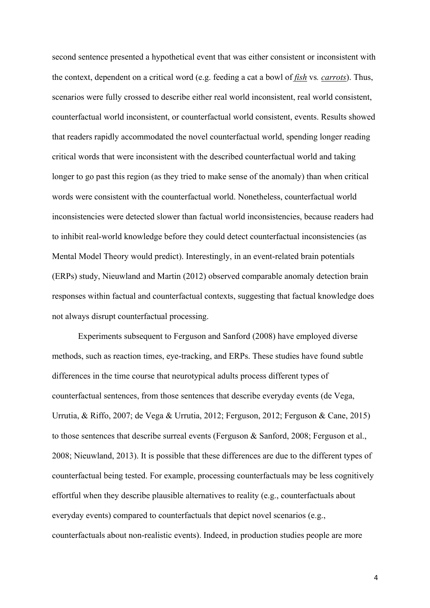second sentence presented a hypothetical event that was either consistent or inconsistent with the context, dependent on a critical word (e.g. feeding a cat a bowl of *fish* vs*. carrots*). Thus, scenarios were fully crossed to describe either real world inconsistent, real world consistent, counterfactual world inconsistent, or counterfactual world consistent, events. Results showed that readers rapidly accommodated the novel counterfactual world, spending longer reading critical words that were inconsistent with the described counterfactual world and taking longer to go past this region (as they tried to make sense of the anomaly) than when critical words were consistent with the counterfactual world. Nonetheless, counterfactual world inconsistencies were detected slower than factual world inconsistencies, because readers had to inhibit real-world knowledge before they could detect counterfactual inconsistencies (as Mental Model Theory would predict). Interestingly, in an event-related brain potentials (ERPs) study, Nieuwland and Martin (2012) observed comparable anomaly detection brain responses within factual and counterfactual contexts, suggesting that factual knowledge does not always disrupt counterfactual processing.

Experiments subsequent to Ferguson and Sanford (2008) have employed diverse methods, such as reaction times, eye-tracking, and ERPs. These studies have found subtle differences in the time course that neurotypical adults process different types of counterfactual sentences, from those sentences that describe everyday events (de Vega, Urrutia, & Riffo, 2007; de Vega & Urrutia, 2012; Ferguson, 2012; Ferguson & Cane, 2015) to those sentences that describe surreal events (Ferguson & Sanford, 2008; Ferguson et al., 2008; Nieuwland, 2013). It is possible that these differences are due to the different types of counterfactual being tested. For example, processing counterfactuals may be less cognitively effortful when they describe plausible alternatives to reality (e.g., counterfactuals about everyday events) compared to counterfactuals that depict novel scenarios (e.g., counterfactuals about non-realistic events). Indeed, in production studies people are more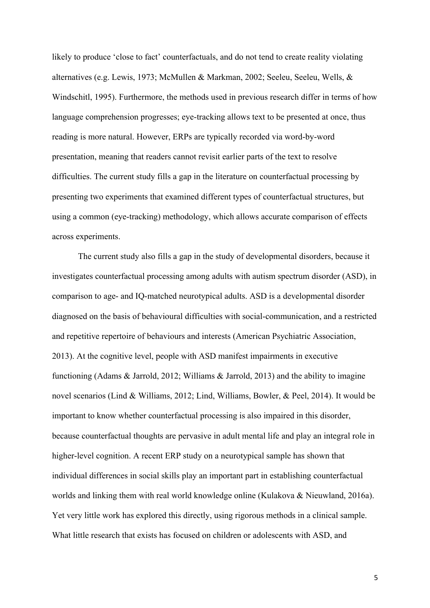likely to produce 'close to fact' counterfactuals, and do not tend to create reality violating alternatives (e.g. Lewis, 1973; McMullen & Markman, 2002; Seeleu, Seeleu, Wells, & Windschitl, 1995). Furthermore, the methods used in previous research differ in terms of how language comprehension progresses; eye-tracking allows text to be presented at once, thus reading is more natural. However, ERPs are typically recorded via word-by-word presentation, meaning that readers cannot revisit earlier parts of the text to resolve difficulties. The current study fills a gap in the literature on counterfactual processing by presenting two experiments that examined different types of counterfactual structures, but using a common (eye-tracking) methodology, which allows accurate comparison of effects across experiments.

The current study also fills a gap in the study of developmental disorders, because it investigates counterfactual processing among adults with autism spectrum disorder (ASD), in comparison to age- and IQ-matched neurotypical adults. ASD is a developmental disorder diagnosed on the basis of behavioural difficulties with social-communication, and a restricted and repetitive repertoire of behaviours and interests (American Psychiatric Association, 2013). At the cognitive level, people with ASD manifest impairments in executive functioning (Adams & Jarrold, 2012; Williams & Jarrold, 2013) and the ability to imagine novel scenarios (Lind & Williams, 2012; Lind, Williams, Bowler, & Peel, 2014). It would be important to know whether counterfactual processing is also impaired in this disorder, because counterfactual thoughts are pervasive in adult mental life and play an integral role in higher-level cognition. A recent ERP study on a neurotypical sample has shown that individual differences in social skills play an important part in establishing counterfactual worlds and linking them with real world knowledge online (Kulakova & Nieuwland, 2016a). Yet very little work has explored this directly, using rigorous methods in a clinical sample. What little research that exists has focused on children or adolescents with ASD, and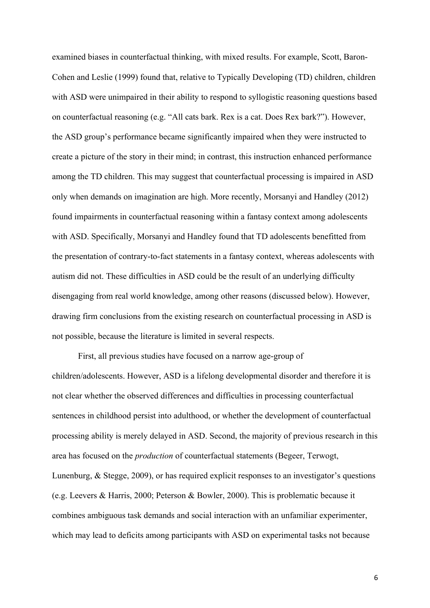examined biases in counterfactual thinking, with mixed results. For example, Scott, Baron-Cohen and Leslie (1999) found that, relative to Typically Developing (TD) children, children with ASD were unimpaired in their ability to respond to syllogistic reasoning questions based on counterfactual reasoning (e.g. "All cats bark. Rex is a cat. Does Rex bark?"). However, the ASD group's performance became significantly impaired when they were instructed to create a picture of the story in their mind; in contrast, this instruction enhanced performance among the TD children. This may suggest that counterfactual processing is impaired in ASD only when demands on imagination are high. More recently, Morsanyi and Handley (2012) found impairments in counterfactual reasoning within a fantasy context among adolescents with ASD. Specifically, Morsanyi and Handley found that TD adolescents benefitted from the presentation of contrary-to-fact statements in a fantasy context, whereas adolescents with autism did not. These difficulties in ASD could be the result of an underlying difficulty disengaging from real world knowledge, among other reasons (discussed below). However, drawing firm conclusions from the existing research on counterfactual processing in ASD is not possible, because the literature is limited in several respects.

First, all previous studies have focused on a narrow age-group of children/adolescents. However, ASD is a lifelong developmental disorder and therefore it is not clear whether the observed differences and difficulties in processing counterfactual sentences in childhood persist into adulthood, or whether the development of counterfactual processing ability is merely delayed in ASD. Second, the majority of previous research in this area has focused on the *production* of counterfactual statements (Begeer, Terwogt, Lunenburg, & Stegge, 2009), or has required explicit responses to an investigator's questions (e.g. Leevers & Harris, 2000; Peterson & Bowler, 2000). This is problematic because it combines ambiguous task demands and social interaction with an unfamiliar experimenter, which may lead to deficits among participants with ASD on experimental tasks not because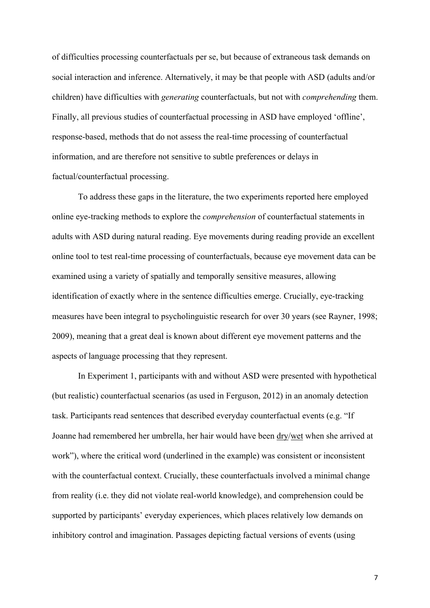of difficulties processing counterfactuals per se, but because of extraneous task demands on social interaction and inference. Alternatively, it may be that people with ASD (adults and/or children) have difficulties with *generating* counterfactuals, but not with *comprehending* them. Finally, all previous studies of counterfactual processing in ASD have employed 'offline', response-based, methods that do not assess the real-time processing of counterfactual information, and are therefore not sensitive to subtle preferences or delays in factual/counterfactual processing.

To address these gaps in the literature, the two experiments reported here employed online eye-tracking methods to explore the *comprehension* of counterfactual statements in adults with ASD during natural reading. Eye movements during reading provide an excellent online tool to test real-time processing of counterfactuals, because eye movement data can be examined using a variety of spatially and temporally sensitive measures, allowing identification of exactly where in the sentence difficulties emerge. Crucially, eye-tracking measures have been integral to psycholinguistic research for over 30 years (see Rayner, 1998; 2009), meaning that a great deal is known about different eye movement patterns and the aspects of language processing that they represent.

In Experiment 1, participants with and without ASD were presented with hypothetical (but realistic) counterfactual scenarios (as used in Ferguson, 2012) in an anomaly detection task. Participants read sentences that described everyday counterfactual events (e.g. "If Joanne had remembered her umbrella, her hair would have been dry/wet when she arrived at work"), where the critical word (underlined in the example) was consistent or inconsistent with the counterfactual context. Crucially, these counterfactuals involved a minimal change from reality (i.e. they did not violate real-world knowledge), and comprehension could be supported by participants' everyday experiences, which places relatively low demands on inhibitory control and imagination. Passages depicting factual versions of events (using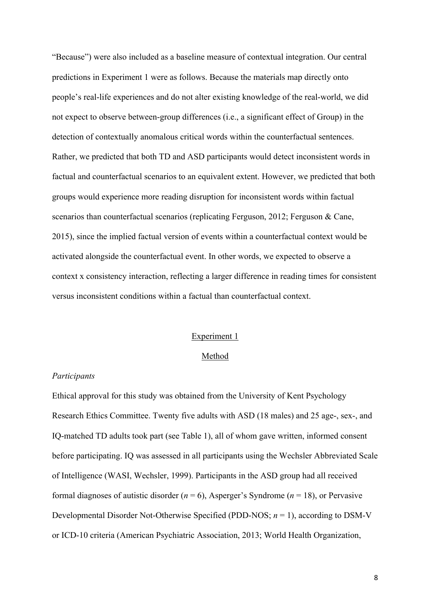"Because") were also included as a baseline measure of contextual integration. Our central predictions in Experiment 1 were as follows. Because the materials map directly onto people's real-life experiences and do not alter existing knowledge of the real-world, we did not expect to observe between-group differences (i.e., a significant effect of Group) in the detection of contextually anomalous critical words within the counterfactual sentences. Rather, we predicted that both TD and ASD participants would detect inconsistent words in factual and counterfactual scenarios to an equivalent extent. However, we predicted that both groups would experience more reading disruption for inconsistent words within factual scenarios than counterfactual scenarios (replicating Ferguson, 2012; Ferguson & Cane, 2015), since the implied factual version of events within a counterfactual context would be activated alongside the counterfactual event. In other words, we expected to observe a context x consistency interaction, reflecting a larger difference in reading times for consistent versus inconsistent conditions within a factual than counterfactual context.

#### Experiment 1

#### Method

#### *Participants*

Ethical approval for this study was obtained from the University of Kent Psychology Research Ethics Committee. Twenty five adults with ASD (18 males) and 25 age-, sex-, and IQ-matched TD adults took part (see Table 1), all of whom gave written, informed consent before participating. IQ was assessed in all participants using the Wechsler Abbreviated Scale of Intelligence (WASI, Wechsler, 1999). Participants in the ASD group had all received formal diagnoses of autistic disorder  $(n = 6)$ , Asperger's Syndrome  $(n = 18)$ , or Pervasive Developmental Disorder Not-Otherwise Specified (PDD-NOS; *n* = 1), according to DSM-V or ICD-10 criteria (American Psychiatric Association, 2013; World Health Organization,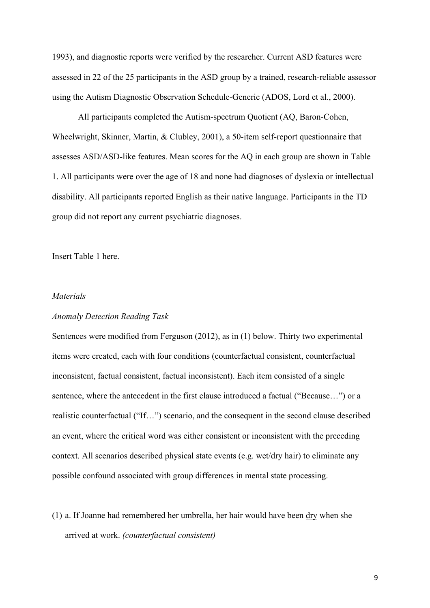1993), and diagnostic reports were verified by the researcher. Current ASD features were assessed in 22 of the 25 participants in the ASD group by a trained, research-reliable assessor using the Autism Diagnostic Observation Schedule-Generic (ADOS, Lord et al., 2000).

All participants completed the Autism-spectrum Quotient (AQ, Baron-Cohen, Wheelwright, Skinner, Martin, & Clubley, 2001), a 50-item self-report questionnaire that assesses ASD/ASD-like features. Mean scores for the AQ in each group are shown in Table 1. All participants were over the age of 18 and none had diagnoses of dyslexia or intellectual disability. All participants reported English as their native language. Participants in the TD group did not report any current psychiatric diagnoses.

Insert Table 1 here.

#### *Materials*

#### *Anomaly Detection Reading Task*

Sentences were modified from Ferguson (2012), as in (1) below. Thirty two experimental items were created, each with four conditions (counterfactual consistent, counterfactual inconsistent, factual consistent, factual inconsistent). Each item consisted of a single sentence, where the antecedent in the first clause introduced a factual ("Because…") or a realistic counterfactual ("If…") scenario, and the consequent in the second clause described an event, where the critical word was either consistent or inconsistent with the preceding context. All scenarios described physical state events (e.g. wet/dry hair) to eliminate any possible confound associated with group differences in mental state processing.

(1) a. If Joanne had remembered her umbrella, her hair would have been dry when she arrived at work. *(counterfactual consistent)*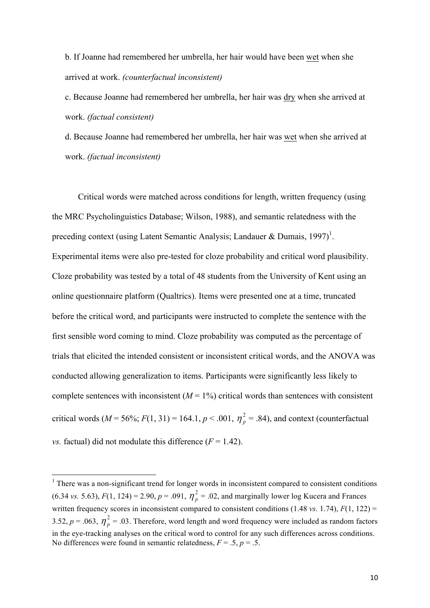b. If Joanne had remembered her umbrella, her hair would have been wet when she arrived at work. *(counterfactual inconsistent)*

c. Because Joanne had remembered her umbrella, her hair was dry when she arrived at work. *(factual consistent)*

d. Because Joanne had remembered her umbrella, her hair was wet when she arrived at work. *(factual inconsistent)* 

Critical words were matched across conditions for length, written frequency (using the MRC Psycholinguistics Database; Wilson, 1988), and semantic relatedness with the preceding context (using Latent Semantic Analysis; Landauer & Dumais, 1997)<sup>1</sup>. Experimental items were also pre-tested for cloze probability and critical word plausibility. Cloze probability was tested by a total of 48 students from the University of Kent using an online questionnaire platform (Qualtrics). Items were presented one at a time, truncated before the critical word, and participants were instructed to complete the sentence with the first sensible word coming to mind. Cloze probability was computed as the percentage of trials that elicited the intended consistent or inconsistent critical words, and the ANOVA was conducted allowing generalization to items. Participants were significantly less likely to complete sentences with inconsistent  $(M = 1\%)$  critical words than sentences with consistent critical words ( $M = 56\%$ ;  $F(1, 31) = 164.1, p < .001, \eta_p^2 = .84$ ), and context (counterfactual *vs.* factual) did not modulate this difference  $(F = 1.42)$ .

<u> 1989 - Johann Barn, amerikan personal (</u>

<sup>&</sup>lt;sup>1</sup> There was a non-significant trend for longer words in inconsistent compared to consistent conditions (6.34 *vs.* 5.63),  $F(1, 124) = 2.90$ ,  $p = .091$ ,  $\eta_p^2 = .02$ , and marginally lower log Kucera and Frances written frequency scores in inconsistent compared to consistent conditions (1.48 *vs.* 1.74), *F*(1, 122) = 3.52,  $p = .063$ ,  $\eta_p^2 = .03$ . Therefore, word length and word frequency were included as random factors in the eye-tracking analyses on the critical word to control for any such differences across conditions. No differences were found in semantic relatedness,  $F = .5$ ,  $p = .5$ .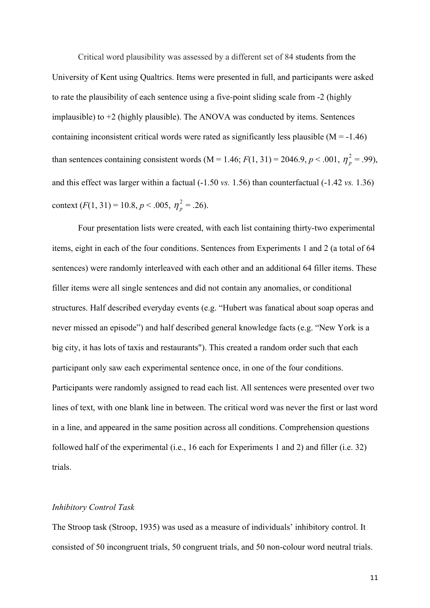Critical word plausibility was assessed by a different set of 84 students from the University of Kent using Qualtrics. Items were presented in full, and participants were asked to rate the plausibility of each sentence using a five-point sliding scale from -2 (highly implausible) to  $+2$  (highly plausible). The ANOVA was conducted by items. Sentences containing inconsistent critical words were rated as significantly less plausible  $(M = -1.46)$ than sentences containing consistent words (M = 1.46;  $F(1, 31) = 2046.9$ ,  $p < .001$ ,  $\eta_p^2 = .99$ ), and this effect was larger within a factual (-1.50 *vs.* 1.56) than counterfactual (-1.42 *vs.* 1.36) context  $(F(1, 31) = 10.8, p < .005, \eta_p^2 = .26)$ .

Four presentation lists were created, with each list containing thirty-two experimental items, eight in each of the four conditions. Sentences from Experiments 1 and 2 (a total of 64 sentences) were randomly interleaved with each other and an additional 64 filler items. These filler items were all single sentences and did not contain any anomalies, or conditional structures. Half described everyday events (e.g. "Hubert was fanatical about soap operas and never missed an episode") and half described general knowledge facts (e.g. "New York is a big city, it has lots of taxis and restaurants"). This created a random order such that each participant only saw each experimental sentence once, in one of the four conditions. Participants were randomly assigned to read each list. All sentences were presented over two lines of text, with one blank line in between. The critical word was never the first or last word in a line, and appeared in the same position across all conditions. Comprehension questions followed half of the experimental (i.e., 16 each for Experiments 1 and 2) and filler (i.e. 32) trials.

#### *Inhibitory Control Task*

The Stroop task (Stroop, 1935) was used as a measure of individuals' inhibitory control. It consisted of 50 incongruent trials, 50 congruent trials, and 50 non-colour word neutral trials.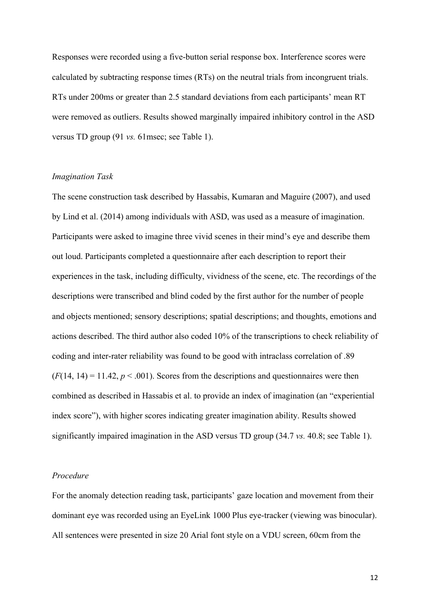Responses were recorded using a five-button serial response box. Interference scores were calculated by subtracting response times (RTs) on the neutral trials from incongruent trials. RTs under 200ms or greater than 2.5 standard deviations from each participants' mean RT were removed as outliers. Results showed marginally impaired inhibitory control in the ASD versus TD group (91 *vs.* 61msec; see Table 1).

#### *Imagination Task*

The scene construction task described by Hassabis, Kumaran and Maguire (2007), and used by Lind et al. (2014) among individuals with ASD, was used as a measure of imagination. Participants were asked to imagine three vivid scenes in their mind's eye and describe them out loud. Participants completed a questionnaire after each description to report their experiences in the task, including difficulty, vividness of the scene, etc. The recordings of the descriptions were transcribed and blind coded by the first author for the number of people and objects mentioned; sensory descriptions; spatial descriptions; and thoughts, emotions and actions described. The third author also coded 10% of the transcriptions to check reliability of coding and inter-rater reliability was found to be good with intraclass correlation of .89  $(F(14, 14) = 11.42, p < .001)$ . Scores from the descriptions and questionnaires were then combined as described in Hassabis et al. to provide an index of imagination (an "experiential index score"), with higher scores indicating greater imagination ability. Results showed significantly impaired imagination in the ASD versus TD group (34.7 *vs.* 40.8; see Table 1).

#### *Procedure*

For the anomaly detection reading task, participants' gaze location and movement from their dominant eye was recorded using an EyeLink 1000 Plus eye-tracker (viewing was binocular). All sentences were presented in size 20 Arial font style on a VDU screen, 60cm from the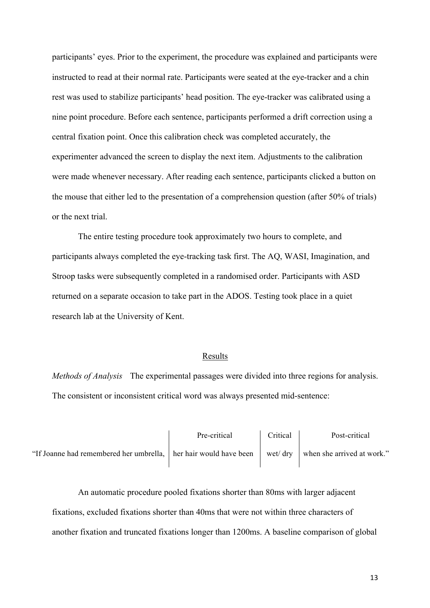participants' eyes. Prior to the experiment, the procedure was explained and participants were instructed to read at their normal rate. Participants were seated at the eye-tracker and a chin rest was used to stabilize participants' head position. The eye-tracker was calibrated using a nine point procedure. Before each sentence, participants performed a drift correction using a central fixation point. Once this calibration check was completed accurately, the experimenter advanced the screen to display the next item. Adjustments to the calibration were made whenever necessary. After reading each sentence, participants clicked a button on the mouse that either led to the presentation of a comprehension question (after 50% of trials) or the next trial.

The entire testing procedure took approximately two hours to complete, and participants always completed the eye-tracking task first. The AQ, WASI, Imagination, and Stroop tasks were subsequently completed in a randomised order. Participants with ASD returned on a separate occasion to take part in the ADOS. Testing took place in a quiet research lab at the University of Kent.

#### Results

*Methods of Analysis* The experimental passages were divided into three regions for analysis. The consistent or inconsistent critical word was always presented mid-sentence:

|                                                                  | Pre-critical | Critical | Post-critical                               |
|------------------------------------------------------------------|--------------|----------|---------------------------------------------|
| "If Joanne had remembered her umbrella, her hair would have been |              |          | wet/ dry $\vert$ when she arrived at work." |

An automatic procedure pooled fixations shorter than 80ms with larger adjacent fixations, excluded fixations shorter than 40ms that were not within three characters of another fixation and truncated fixations longer than 1200ms. A baseline comparison of global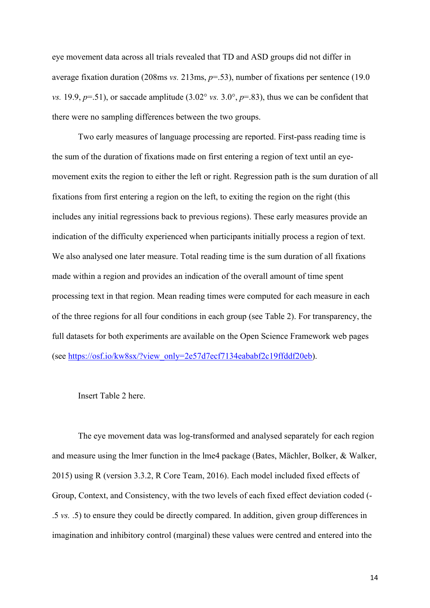eye movement data across all trials revealed that TD and ASD groups did not differ in average fixation duration (208ms *vs.* 213ms, *p*=.53), number of fixations per sentence (19.0 *vs.* 19.9,  $p=0.51$ , or saccade amplitude (3.02° *vs.* 3.0°,  $p=0.83$ ), thus we can be confident that there were no sampling differences between the two groups.

Two early measures of language processing are reported. First-pass reading time is the sum of the duration of fixations made on first entering a region of text until an eyemovement exits the region to either the left or right. Regression path is the sum duration of all fixations from first entering a region on the left, to exiting the region on the right (this includes any initial regressions back to previous regions). These early measures provide an indication of the difficulty experienced when participants initially process a region of text. We also analysed one later measure. Total reading time is the sum duration of all fixations made within a region and provides an indication of the overall amount of time spent processing text in that region. Mean reading times were computed for each measure in each of the three regions for all four conditions in each group (see Table 2). For transparency, the full datasets for both experiments are available on the Open Science Framework web pages (see https://osf.io/kw8sx/?view\_only=2e57d7ecf7134eababf2c19ffddf20eb).

#### Insert Table 2 here.

The eye movement data was log-transformed and analysed separately for each region and measure using the lmer function in the lme4 package (Bates, Mächler, Bolker, & Walker, 2015) using R (version 3.3.2, R Core Team, 2016). Each model included fixed effects of Group, Context, and Consistency, with the two levels of each fixed effect deviation coded (- .5 *vs.* .5) to ensure they could be directly compared. In addition, given group differences in imagination and inhibitory control (marginal) these values were centred and entered into the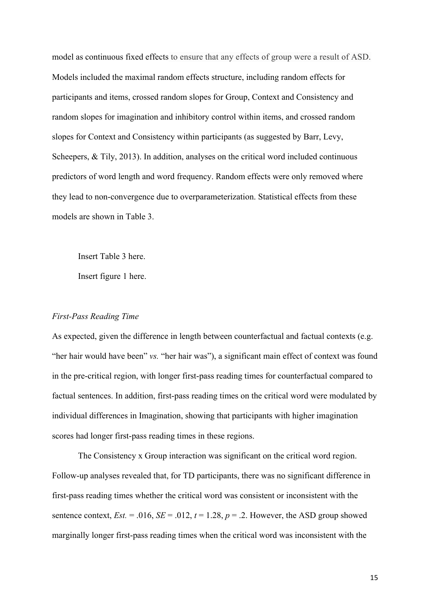model as continuous fixed effects to ensure that any effects of group were a result of ASD. Models included the maximal random effects structure, including random effects for participants and items, crossed random slopes for Group, Context and Consistency and random slopes for imagination and inhibitory control within items, and crossed random slopes for Context and Consistency within participants (as suggested by Barr, Levy, Scheepers, & Tily, 2013). In addition, analyses on the critical word included continuous predictors of word length and word frequency. Random effects were only removed where they lead to non-convergence due to overparameterization. Statistical effects from these models are shown in Table 3.

Insert Table 3 here.

Insert figure 1 here.

#### *First-Pass Reading Time*

As expected, given the difference in length between counterfactual and factual contexts (e.g. "her hair would have been" *vs.* "her hair was"), a significant main effect of context was found in the pre-critical region, with longer first-pass reading times for counterfactual compared to factual sentences. In addition, first-pass reading times on the critical word were modulated by individual differences in Imagination, showing that participants with higher imagination scores had longer first-pass reading times in these regions.

The Consistency x Group interaction was significant on the critical word region. Follow-up analyses revealed that, for TD participants, there was no significant difference in first-pass reading times whether the critical word was consistent or inconsistent with the sentence context,  $Est. = .016$ ,  $SE = .012$ ,  $t = 1.28$ ,  $p = .2$ . However, the ASD group showed marginally longer first-pass reading times when the critical word was inconsistent with the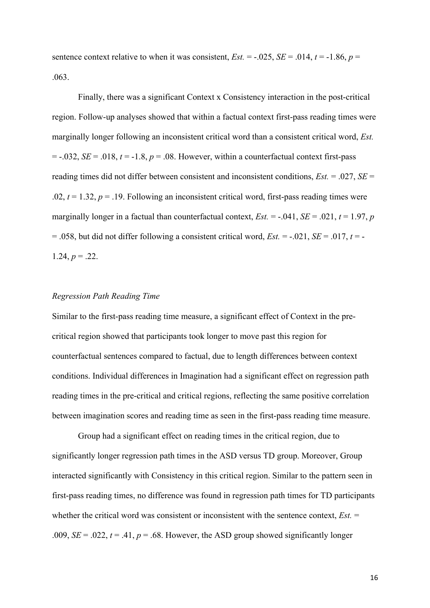sentence context relative to when it was consistent,  $Est. = -0.025$ ,  $SE = 0.014$ ,  $t = -1.86$ ,  $p =$ .063.

Finally, there was a significant Context x Consistency interaction in the post-critical region. Follow-up analyses showed that within a factual context first-pass reading times were marginally longer following an inconsistent critical word than a consistent critical word, *Est.*  $=$  -.032, *SE* = .018,  $t = -1.8$ ,  $p = .08$ . However, within a counterfactual context first-pass reading times did not differ between consistent and inconsistent conditions, *Est.* = .027, *SE* = .02,  $t = 1.32$ ,  $p = 0.19$ . Following an inconsistent critical word, first-pass reading times were marginally longer in a factual than counterfactual context,  $E_{st} = -0.041$ ,  $SE = 0.021$ ,  $t = 1.97$ , *p*  $= .058$ , but did not differ following a consistent critical word, *Est.*  $= -.021$ , *SE*  $= .017$ ,  $t = -100$ 1.24,  $p = 0.22$ .

#### *Regression Path Reading Time*

Similar to the first-pass reading time measure, a significant effect of Context in the precritical region showed that participants took longer to move past this region for counterfactual sentences compared to factual, due to length differences between context conditions. Individual differences in Imagination had a significant effect on regression path reading times in the pre-critical and critical regions, reflecting the same positive correlation between imagination scores and reading time as seen in the first-pass reading time measure.

Group had a significant effect on reading times in the critical region, due to significantly longer regression path times in the ASD versus TD group. Moreover, Group interacted significantly with Consistency in this critical region. Similar to the pattern seen in first-pass reading times, no difference was found in regression path times for TD participants whether the critical word was consistent or inconsistent with the sentence context, *Est.* = .009,  $SE = .022$ ,  $t = .41$ ,  $p = .68$ . However, the ASD group showed significantly longer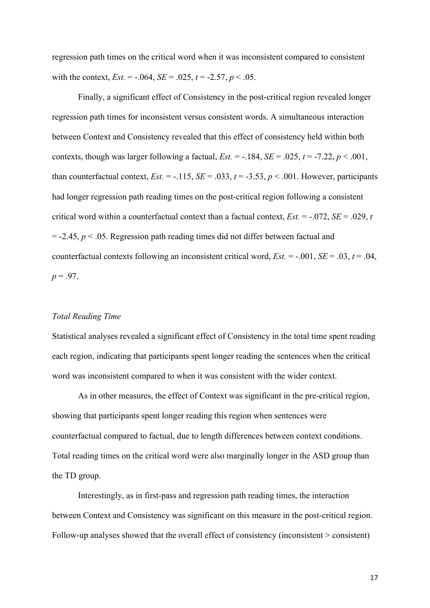regression path times on the critical word when it was inconsistent compared to consistent with the context,  $Est. = -.064$ ,  $SE = .025$ ,  $t = -2.57$ ,  $p < .05$ .

Finally, a significant effect of Consistency in the post-critical region revealed longer regression path times for inconsistent versus consistent words. A simultaneous interaction between Context and Consistency revealed that this effect of consistency held within both contexts, though was larger following a factual,  $Est. = -184$ ,  $SE = .025$ ,  $t = -7.22$ ,  $p < .001$ , than counterfactual context,  $Est. = -0.115$ ,  $SE = 0.033$ ,  $t = -3.53$ ,  $p < 0.01$ . However, participants had longer regression path reading times on the post-critical region following a consistent critical word within a counterfactual context than a factual context, *Est.* = -.072, *SE* = .029, *t*  $= -2.45$ ,  $p < 0.05$ . Regression path reading times did not differ between factual and counterfactual contexts following an inconsistent critical word, *Est.* = -.001, *SE* = .03, *t* = .04,  $p = .97$ .

#### *Total Reading Time*

Statistical analyses revealed a significant effect of Consistency in the total time spent reading each region, indicating that participants spent longer reading the sentences when the critical word was inconsistent compared to when it was consistent with the wider context.

As in other measures, the effect of Context was significant in the pre-critical region, showing that participants spent longer reading this region when sentences were counterfactual compared to factual, due to length differences between context conditions. Total reading times on the critical word were also marginally longer in the ASD group than the TD group.

Interestingly, as in first-pass and regression path reading times, the interaction between Context and Consistency was significant on this measure in the post-critical region. Follow-up analyses showed that the overall effect of consistency (inconsistent > consistent)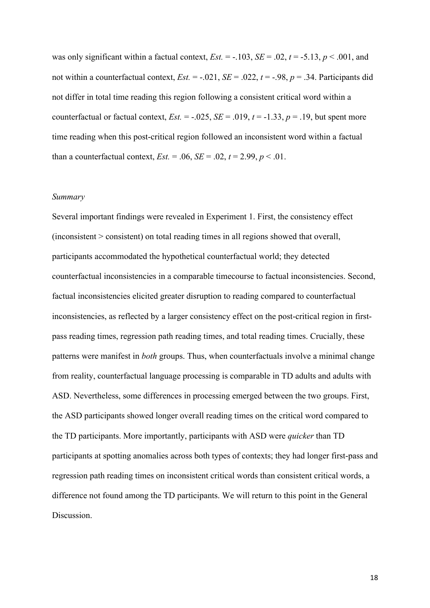was only significant within a factual context,  $Est. = -103$ ,  $SE = .02$ ,  $t = -5.13$ ,  $p < .001$ , and not within a counterfactual context,  $Est. = -0.021$ ,  $SE = 0.022$ ,  $t = -0.98$ ,  $p = 0.34$ . Participants did not differ in total time reading this region following a consistent critical word within a counterfactual or factual context,  $Est. = -0.025$ ,  $SE = 0.019$ ,  $t = -1.33$ ,  $p = 0.19$ , but spent more time reading when this post-critical region followed an inconsistent word within a factual than a counterfactual context,  $Est = 0.06$ ,  $SE = 0.02$ ,  $t = 2.99$ ,  $p < 0.01$ .

#### *Summary*

Several important findings were revealed in Experiment 1. First, the consistency effect (inconsistent > consistent) on total reading times in all regions showed that overall, participants accommodated the hypothetical counterfactual world; they detected counterfactual inconsistencies in a comparable timecourse to factual inconsistencies. Second, factual inconsistencies elicited greater disruption to reading compared to counterfactual inconsistencies, as reflected by a larger consistency effect on the post-critical region in firstpass reading times, regression path reading times, and total reading times. Crucially, these patterns were manifest in *both* groups. Thus, when counterfactuals involve a minimal change from reality, counterfactual language processing is comparable in TD adults and adults with ASD. Nevertheless, some differences in processing emerged between the two groups. First, the ASD participants showed longer overall reading times on the critical word compared to the TD participants. More importantly, participants with ASD were *quicker* than TD participants at spotting anomalies across both types of contexts; they had longer first-pass and regression path reading times on inconsistent critical words than consistent critical words, a difference not found among the TD participants. We will return to this point in the General **Discussion**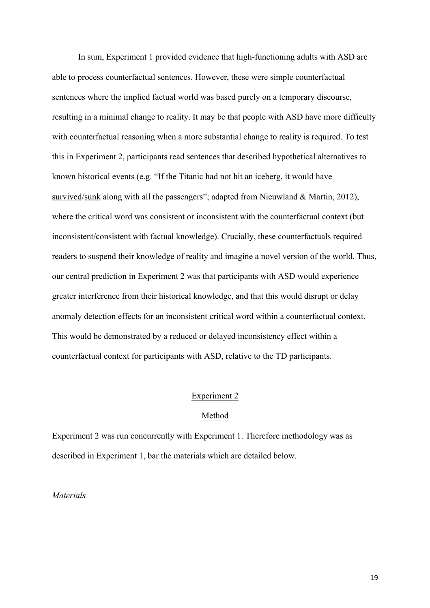In sum, Experiment 1 provided evidence that high-functioning adults with ASD are able to process counterfactual sentences. However, these were simple counterfactual sentences where the implied factual world was based purely on a temporary discourse, resulting in a minimal change to reality. It may be that people with ASD have more difficulty with counterfactual reasoning when a more substantial change to reality is required. To test this in Experiment 2, participants read sentences that described hypothetical alternatives to known historical events (e.g. "If the Titanic had not hit an iceberg, it would have survived/sunk along with all the passengers"; adapted from Nieuwland & Martin, 2012), where the critical word was consistent or inconsistent with the counterfactual context (but inconsistent/consistent with factual knowledge). Crucially, these counterfactuals required readers to suspend their knowledge of reality and imagine a novel version of the world. Thus, our central prediction in Experiment 2 was that participants with ASD would experience greater interference from their historical knowledge, and that this would disrupt or delay anomaly detection effects for an inconsistent critical word within a counterfactual context. This would be demonstrated by a reduced or delayed inconsistency effect within a counterfactual context for participants with ASD, relative to the TD participants.

#### Experiment 2

#### Method

Experiment 2 was run concurrently with Experiment 1. Therefore methodology was as described in Experiment 1, bar the materials which are detailed below.

*Materials*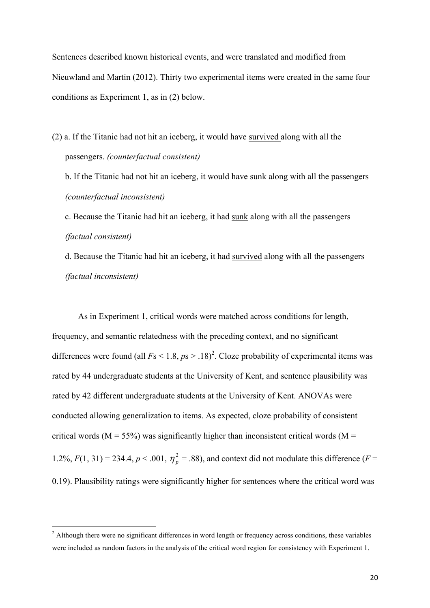Sentences described known historical events, and were translated and modified from Nieuwland and Martin (2012). Thirty two experimental items were created in the same four conditions as Experiment 1, as in (2) below.

(2) a. If the Titanic had not hit an iceberg, it would have survived along with all the passengers. *(counterfactual consistent)*

b. If the Titanic had not hit an iceberg, it would have sunk along with all the passengers *(counterfactual inconsistent)*

c. Because the Titanic had hit an iceberg, it had sunk along with all the passengers *(factual consistent)*

d. Because the Titanic had hit an iceberg, it had survived along with all the passengers *(factual inconsistent)*

As in Experiment 1, critical words were matched across conditions for length, frequency, and semantic relatedness with the preceding context, and no significant differences were found (all  $Fs < 1.8, ps > .18)^2$ . Cloze probability of experimental items was rated by 44 undergraduate students at the University of Kent, and sentence plausibility was rated by 42 different undergraduate students at the University of Kent. ANOVAs were conducted allowing generalization to items. As expected, cloze probability of consistent critical words ( $M = 55\%$ ) was significantly higher than inconsistent critical words ( $M =$ 1.2%,  $F(1, 31) = 234.4$ ,  $p < .001$ ,  $\eta_p^2 = .88$ ), and context did not modulate this difference ( $F =$ 0.19). Plausibility ratings were significantly higher for sentences where the critical word was

<u> 1989 - Johann Barn, amerikansk politiker (</u>

<sup>&</sup>lt;sup>2</sup> Although there were no significant differences in word length or frequency across conditions, these variables were included as random factors in the analysis of the critical word region for consistency with Experiment 1.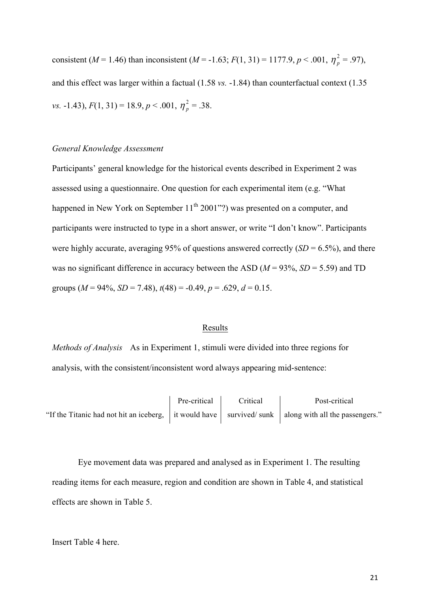consistent (*M* = 1.46) than inconsistent (*M* = -1.63; *F*(1, 31) = 1177.9, *p* < .001,  $\eta_p^2$  = .97), and this effect was larger within a factual (1.58 *vs.* -1.84) than counterfactual context (1.35 *vs.* -1.43),  $F(1, 31) = 18.9, p < .001, \eta_p^2 = .38.$ 

#### *General Knowledge Assessment*

Participants' general knowledge for the historical events described in Experiment 2 was assessed using a questionnaire. One question for each experimental item (e.g. "What happened in New York on September  $11^{th}$  2001"?) was presented on a computer, and participants were instructed to type in a short answer, or write "I don't know". Participants were highly accurate, averaging 95% of questions answered correctly  $(SD = 6.5\%)$ , and there was no significant difference in accuracy between the ASD  $(M = 93\%, SD = 5.59)$  and TD groups  $(M = 94\%, SD = 7.48)$ ,  $t(48) = -0.49$ ,  $p = .629$ ,  $d = 0.15$ .

#### Results

*Methods of Analysis* As in Experiment 1, stimuli were divided into three regions for analysis, with the consistent/inconsistent word always appearing mid-sentence:

|                                                                                                                     | Pre-critical | Critical | Post-critical |
|---------------------------------------------------------------------------------------------------------------------|--------------|----------|---------------|
| "If the Titanic had not hit an iceberg, it would have $\vert$ survived/sunk $\vert$ along with all the passengers." |              |          |               |

Eye movement data was prepared and analysed as in Experiment 1. The resulting reading items for each measure, region and condition are shown in Table 4, and statistical effects are shown in Table 5.

Insert Table 4 here.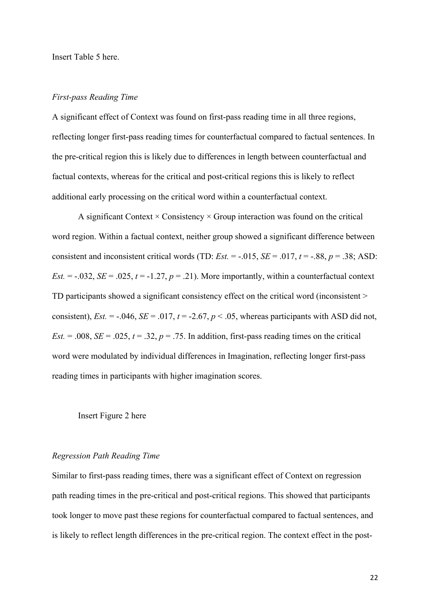Insert Table 5 here.

#### *First-pass Reading Time*

A significant effect of Context was found on first-pass reading time in all three regions, reflecting longer first-pass reading times for counterfactual compared to factual sentences. In the pre-critical region this is likely due to differences in length between counterfactual and factual contexts, whereas for the critical and post-critical regions this is likely to reflect additional early processing on the critical word within a counterfactual context.

A significant Context  $\times$  Consistency  $\times$  Group interaction was found on the critical word region. Within a factual context, neither group showed a significant difference between consistent and inconsistent critical words (TD: *Est.* = -.015,  $SE = .017$ ,  $t = -.88$ ,  $p = .38$ ; ASD: *Est.* =  $-.032$ , *SE* =  $.025$ , *t* =  $-1.27$ , *p* = .21). More importantly, within a counterfactual context TD participants showed a significant consistency effect on the critical word (inconsistent > consistent),  $Est. = -0.046$ ,  $SE = 0.017$ ,  $t = -2.67$ ,  $p < 0.05$ , whereas participants with ASD did not, *Est.* = .008, *SE* = .025,  $t = .32$ ,  $p = .75$ . In addition, first-pass reading times on the critical word were modulated by individual differences in Imagination, reflecting longer first-pass reading times in participants with higher imagination scores.

#### Insert Figure 2 here

#### *Regression Path Reading Time*

Similar to first-pass reading times, there was a significant effect of Context on regression path reading times in the pre-critical and post-critical regions. This showed that participants took longer to move past these regions for counterfactual compared to factual sentences, and is likely to reflect length differences in the pre-critical region. The context effect in the post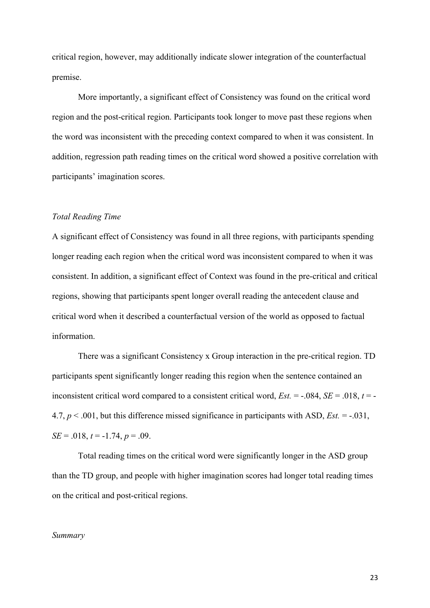critical region, however, may additionally indicate slower integration of the counterfactual premise.

More importantly, a significant effect of Consistency was found on the critical word region and the post-critical region. Participants took longer to move past these regions when the word was inconsistent with the preceding context compared to when it was consistent. In addition, regression path reading times on the critical word showed a positive correlation with participants' imagination scores.

#### *Total Reading Time*

A significant effect of Consistency was found in all three regions, with participants spending longer reading each region when the critical word was inconsistent compared to when it was consistent. In addition, a significant effect of Context was found in the pre-critical and critical regions, showing that participants spent longer overall reading the antecedent clause and critical word when it described a counterfactual version of the world as opposed to factual information.

There was a significant Consistency x Group interaction in the pre-critical region. TD participants spent significantly longer reading this region when the sentence contained an inconsistent critical word compared to a consistent critical word,  $Est. = -.084$ ,  $SE = .018$ ,  $t = -$ 4.7, *p* < .001, but this difference missed significance in participants with ASD, *Est.* = -.031,  $SE = .018$ ,  $t = -1.74$ ,  $p = .09$ .

Total reading times on the critical word were significantly longer in the ASD group than the TD group, and people with higher imagination scores had longer total reading times on the critical and post-critical regions.

#### *Summary*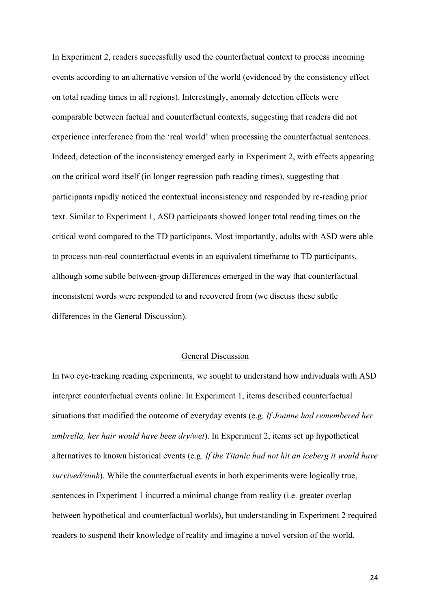In Experiment 2, readers successfully used the counterfactual context to process incoming events according to an alternative version of the world (evidenced by the consistency effect on total reading times in all regions). Interestingly, anomaly detection effects were comparable between factual and counterfactual contexts, suggesting that readers did not experience interference from the 'real world' when processing the counterfactual sentences. Indeed, detection of the inconsistency emerged early in Experiment 2, with effects appearing on the critical word itself (in longer regression path reading times), suggesting that participants rapidly noticed the contextual inconsistency and responded by re-reading prior text. Similar to Experiment 1, ASD participants showed longer total reading times on the critical word compared to the TD participants. Most importantly, adults with ASD were able to process non-real counterfactual events in an equivalent timeframe to TD participants, although some subtle between-group differences emerged in the way that counterfactual inconsistent words were responded to and recovered from (we discuss these subtle differences in the General Discussion).

#### General Discussion

In two eye-tracking reading experiments, we sought to understand how individuals with ASD interpret counterfactual events online. In Experiment 1, items described counterfactual situations that modified the outcome of everyday events (e.g. *If Joanne had remembered her umbrella, her hair would have been dry/wet*). In Experiment 2, items set up hypothetical alternatives to known historical events (e.g. *If the Titanic had not hit an iceberg it would have survived/sunk*). While the counterfactual events in both experiments were logically true, sentences in Experiment 1 incurred a minimal change from reality (i.e. greater overlap between hypothetical and counterfactual worlds), but understanding in Experiment 2 required readers to suspend their knowledge of reality and imagine a novel version of the world.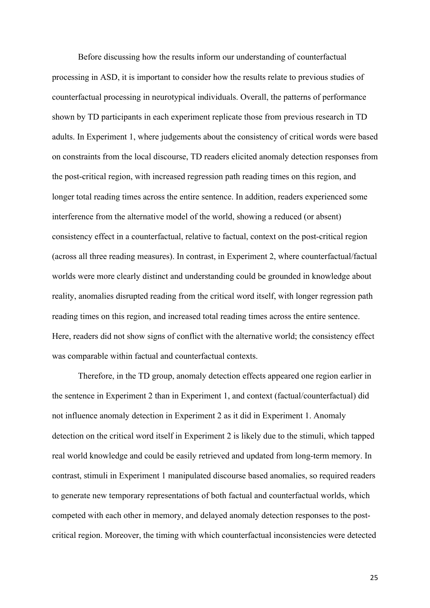Before discussing how the results inform our understanding of counterfactual processing in ASD, it is important to consider how the results relate to previous studies of counterfactual processing in neurotypical individuals. Overall, the patterns of performance shown by TD participants in each experiment replicate those from previous research in TD adults. In Experiment 1, where judgements about the consistency of critical words were based on constraints from the local discourse, TD readers elicited anomaly detection responses from the post-critical region, with increased regression path reading times on this region, and longer total reading times across the entire sentence. In addition, readers experienced some interference from the alternative model of the world, showing a reduced (or absent) consistency effect in a counterfactual, relative to factual, context on the post-critical region (across all three reading measures). In contrast, in Experiment 2, where counterfactual/factual worlds were more clearly distinct and understanding could be grounded in knowledge about reality, anomalies disrupted reading from the critical word itself, with longer regression path reading times on this region, and increased total reading times across the entire sentence. Here, readers did not show signs of conflict with the alternative world; the consistency effect was comparable within factual and counterfactual contexts.

Therefore, in the TD group, anomaly detection effects appeared one region earlier in the sentence in Experiment 2 than in Experiment 1, and context (factual/counterfactual) did not influence anomaly detection in Experiment 2 as it did in Experiment 1. Anomaly detection on the critical word itself in Experiment 2 is likely due to the stimuli, which tapped real world knowledge and could be easily retrieved and updated from long-term memory. In contrast, stimuli in Experiment 1 manipulated discourse based anomalies, so required readers to generate new temporary representations of both factual and counterfactual worlds, which competed with each other in memory, and delayed anomaly detection responses to the postcritical region. Moreover, the timing with which counterfactual inconsistencies were detected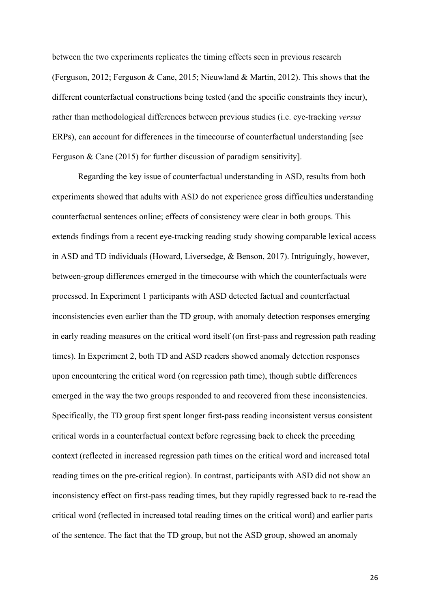between the two experiments replicates the timing effects seen in previous research (Ferguson, 2012; Ferguson & Cane, 2015; Nieuwland & Martin, 2012). This shows that the different counterfactual constructions being tested (and the specific constraints they incur), rather than methodological differences between previous studies (i.e. eye-tracking *versus* ERPs), can account for differences in the timecourse of counterfactual understanding [see Ferguson & Cane (2015) for further discussion of paradigm sensitivity].

Regarding the key issue of counterfactual understanding in ASD, results from both experiments showed that adults with ASD do not experience gross difficulties understanding counterfactual sentences online; effects of consistency were clear in both groups. This extends findings from a recent eye-tracking reading study showing comparable lexical access in ASD and TD individuals (Howard, Liversedge, & Benson, 2017). Intriguingly, however, between-group differences emerged in the timecourse with which the counterfactuals were processed. In Experiment 1 participants with ASD detected factual and counterfactual inconsistencies even earlier than the TD group, with anomaly detection responses emerging in early reading measures on the critical word itself (on first-pass and regression path reading times). In Experiment 2, both TD and ASD readers showed anomaly detection responses upon encountering the critical word (on regression path time), though subtle differences emerged in the way the two groups responded to and recovered from these inconsistencies. Specifically, the TD group first spent longer first-pass reading inconsistent versus consistent critical words in a counterfactual context before regressing back to check the preceding context (reflected in increased regression path times on the critical word and increased total reading times on the pre-critical region). In contrast, participants with ASD did not show an inconsistency effect on first-pass reading times, but they rapidly regressed back to re-read the critical word (reflected in increased total reading times on the critical word) and earlier parts of the sentence. The fact that the TD group, but not the ASD group, showed an anomaly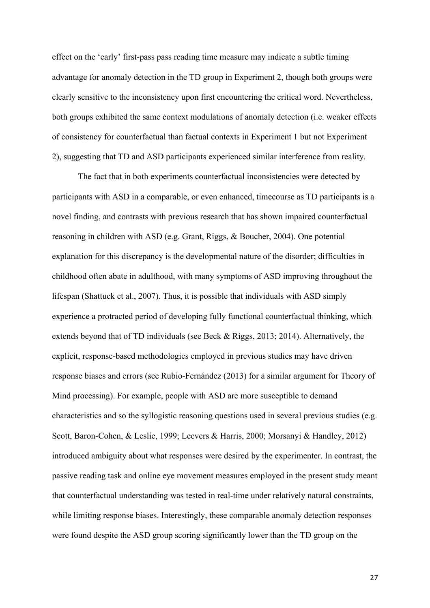effect on the 'early' first-pass pass reading time measure may indicate a subtle timing advantage for anomaly detection in the TD group in Experiment 2, though both groups were clearly sensitive to the inconsistency upon first encountering the critical word. Nevertheless, both groups exhibited the same context modulations of anomaly detection (i.e. weaker effects of consistency for counterfactual than factual contexts in Experiment 1 but not Experiment 2), suggesting that TD and ASD participants experienced similar interference from reality.

The fact that in both experiments counterfactual inconsistencies were detected by participants with ASD in a comparable, or even enhanced, timecourse as TD participants is a novel finding, and contrasts with previous research that has shown impaired counterfactual reasoning in children with ASD (e.g. Grant, Riggs, & Boucher, 2004). One potential explanation for this discrepancy is the developmental nature of the disorder; difficulties in childhood often abate in adulthood, with many symptoms of ASD improving throughout the lifespan (Shattuck et al., 2007). Thus, it is possible that individuals with ASD simply experience a protracted period of developing fully functional counterfactual thinking, which extends beyond that of TD individuals (see Beck & Riggs, 2013; 2014). Alternatively, the explicit, response-based methodologies employed in previous studies may have driven response biases and errors (see Rubio-Fernández (2013) for a similar argument for Theory of Mind processing). For example, people with ASD are more susceptible to demand characteristics and so the syllogistic reasoning questions used in several previous studies (e.g. Scott, Baron-Cohen, & Leslie, 1999; Leevers & Harris, 2000; Morsanyi & Handley, 2012) introduced ambiguity about what responses were desired by the experimenter. In contrast, the passive reading task and online eye movement measures employed in the present study meant that counterfactual understanding was tested in real-time under relatively natural constraints, while limiting response biases. Interestingly, these comparable anomaly detection responses were found despite the ASD group scoring significantly lower than the TD group on the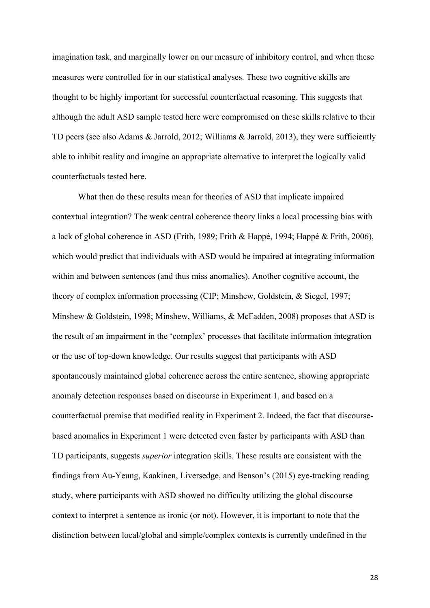imagination task, and marginally lower on our measure of inhibitory control, and when these measures were controlled for in our statistical analyses. These two cognitive skills are thought to be highly important for successful counterfactual reasoning. This suggests that although the adult ASD sample tested here were compromised on these skills relative to their TD peers (see also Adams & Jarrold, 2012; Williams & Jarrold, 2013), they were sufficiently able to inhibit reality and imagine an appropriate alternative to interpret the logically valid counterfactuals tested here.

What then do these results mean for theories of ASD that implicate impaired contextual integration? The weak central coherence theory links a local processing bias with a lack of global coherence in ASD (Frith, 1989; Frith & Happé, 1994; Happé & Frith, 2006), which would predict that individuals with ASD would be impaired at integrating information within and between sentences (and thus miss anomalies). Another cognitive account, the theory of complex information processing (CIP; Minshew, Goldstein, & Siegel, 1997; Minshew & Goldstein, 1998; Minshew, Williams, & McFadden, 2008) proposes that ASD is the result of an impairment in the 'complex' processes that facilitate information integration or the use of top-down knowledge. Our results suggest that participants with ASD spontaneously maintained global coherence across the entire sentence, showing appropriate anomaly detection responses based on discourse in Experiment 1, and based on a counterfactual premise that modified reality in Experiment 2. Indeed, the fact that discoursebased anomalies in Experiment 1 were detected even faster by participants with ASD than TD participants, suggests *superior* integration skills. These results are consistent with the findings from Au-Yeung, Kaakinen, Liversedge, and Benson's (2015) eye-tracking reading study, where participants with ASD showed no difficulty utilizing the global discourse context to interpret a sentence as ironic (or not). However, it is important to note that the distinction between local/global and simple/complex contexts is currently undefined in the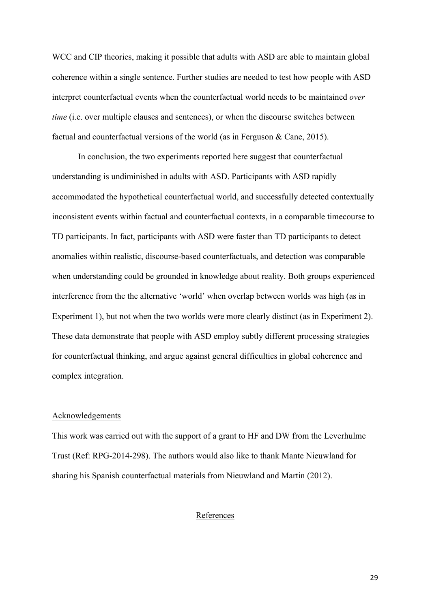WCC and CIP theories, making it possible that adults with ASD are able to maintain global coherence within a single sentence. Further studies are needed to test how people with ASD interpret counterfactual events when the counterfactual world needs to be maintained *over time* (i.e. over multiple clauses and sentences), or when the discourse switches between factual and counterfactual versions of the world (as in Ferguson & Cane, 2015).

In conclusion, the two experiments reported here suggest that counterfactual understanding is undiminished in adults with ASD. Participants with ASD rapidly accommodated the hypothetical counterfactual world, and successfully detected contextually inconsistent events within factual and counterfactual contexts, in a comparable timecourse to TD participants. In fact, participants with ASD were faster than TD participants to detect anomalies within realistic, discourse-based counterfactuals, and detection was comparable when understanding could be grounded in knowledge about reality. Both groups experienced interference from the the alternative 'world' when overlap between worlds was high (as in Experiment 1), but not when the two worlds were more clearly distinct (as in Experiment 2). These data demonstrate that people with ASD employ subtly different processing strategies for counterfactual thinking, and argue against general difficulties in global coherence and complex integration.

#### Acknowledgements

This work was carried out with the support of a grant to HF and DW from the Leverhulme Trust (Ref: RPG-2014-298). The authors would also like to thank Mante Nieuwland for sharing his Spanish counterfactual materials from Nieuwland and Martin (2012).

#### References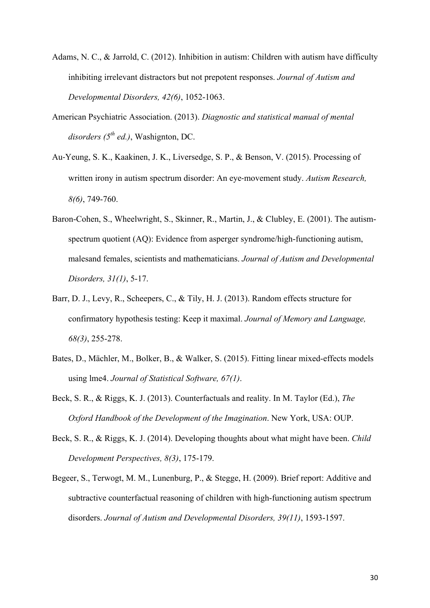- Adams, N. C., & Jarrold, C. (2012). Inhibition in autism: Children with autism have difficulty inhibiting irrelevant distractors but not prepotent responses. *Journal of Autism and Developmental Disorders, 42(6)*, 1052-1063.
- American Psychiatric Association. (2013). *Diagnostic and statistical manual of mental disorders (5 th ed.)*, Washignton, DC.
- Au-Yeung, S. K., Kaakinen, J. K., Liversedge, S. P., & Benson, V. (2015). Processing of written irony in autism spectrum disorder: An eye-movement study. *Autism Research, 8(6)*, 749-760.
- Baron-Cohen, S., Wheelwright, S., Skinner, R., Martin, J., & Clubley, E. (2001). The autismspectrum quotient (AQ): Evidence from asperger syndrome/high-functioning autism, malesand females, scientists and mathematicians. *Journal of Autism and Developmental Disorders, 31(1)*, 5-17.
- Barr, D. J., Levy, R., Scheepers, C., & Tily, H. J. (2013). Random effects structure for confirmatory hypothesis testing: Keep it maximal. *Journal of Memory and Language, 68(3)*, 255-278.
- Bates, D., Mächler, M., Bolker, B., & Walker, S. (2015). Fitting linear mixed-effects models using lme4. *Journal of Statistical Software, 67(1)*.
- Beck, S. R., & Riggs, K. J. (2013). Counterfactuals and reality. In M. Taylor (Ed.), *The Oxford Handbook of the Development of the Imagination*. New York, USA: OUP.
- Beck, S. R., & Riggs, K. J. (2014). Developing thoughts about what might have been. *Child Development Perspectives, 8(3)*, 175-179.
- Begeer, S., Terwogt, M. M., Lunenburg, P., & Stegge, H. (2009). Brief report: Additive and subtractive counterfactual reasoning of children with high-functioning autism spectrum disorders. *Journal of Autism and Developmental Disorders, 39(11)*, 1593-1597.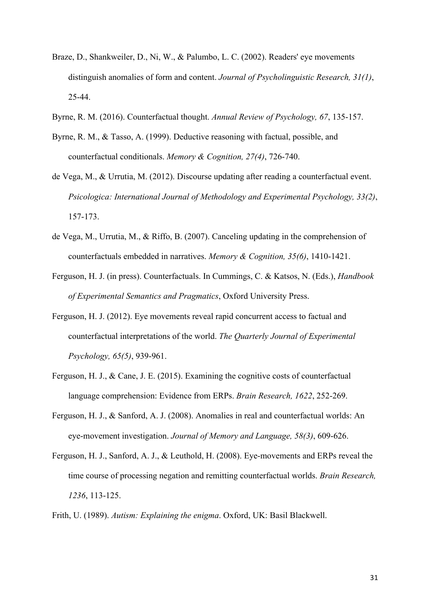- Braze, D., Shankweiler, D., Ni, W., & Palumbo, L. C. (2002). Readers' eye movements distinguish anomalies of form and content. *Journal of Psycholinguistic Research, 31(1)*, 25-44.
- Byrne, R. M. (2016). Counterfactual thought. *Annual Review of Psychology, 67*, 135-157.
- Byrne, R. M., & Tasso, A. (1999). Deductive reasoning with factual, possible, and counterfactual conditionals. *Memory & Cognition, 27(4)*, 726-740.
- de Vega, M., & Urrutia, M. (2012). Discourse updating after reading a counterfactual event. *Psicologica: International Journal of Methodology and Experimental Psychology, 33(2)*, 157-173.
- de Vega, M., Urrutia, M., & Riffo, B. (2007). Canceling updating in the comprehension of counterfactuals embedded in narratives. *Memory & Cognition, 35(6)*, 1410-1421.
- Ferguson, H. J. (in press). Counterfactuals. In Cummings, C. & Katsos, N. (Eds.), *Handbook of Experimental Semantics and Pragmatics*, Oxford University Press.
- Ferguson, H. J. (2012). Eye movements reveal rapid concurrent access to factual and counterfactual interpretations of the world. *The Quarterly Journal of Experimental Psychology, 65(5)*, 939-961.
- Ferguson, H. J., & Cane, J. E. (2015). Examining the cognitive costs of counterfactual language comprehension: Evidence from ERPs. *Brain Research, 1622*, 252-269.
- Ferguson, H. J., & Sanford, A. J. (2008). Anomalies in real and counterfactual worlds: An eye-movement investigation. *Journal of Memory and Language, 58(3)*, 609-626.
- Ferguson, H. J., Sanford, A. J., & Leuthold, H. (2008). Eye-movements and ERPs reveal the time course of processing negation and remitting counterfactual worlds. *Brain Research, 1236*, 113-125.
- Frith, U. (1989). *Autism: Explaining the enigma*. Oxford, UK: Basil Blackwell.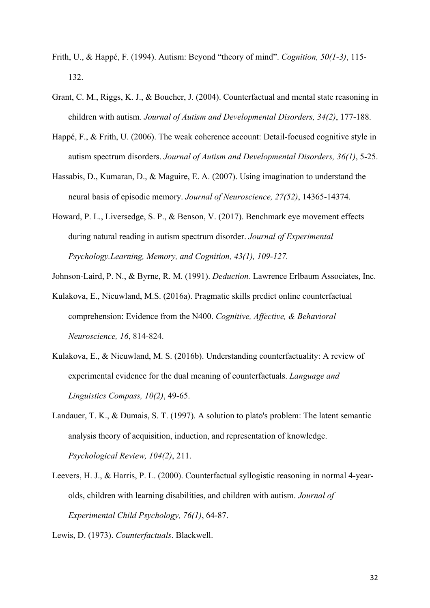- Frith, U., & Happé, F. (1994). Autism: Beyond "theory of mind". *Cognition, 50(1-3)*, 115- 132.
- Grant, C. M., Riggs, K. J., & Boucher, J. (2004). Counterfactual and mental state reasoning in children with autism. *Journal of Autism and Developmental Disorders, 34(2)*, 177-188.
- Happé, F., & Frith, U. (2006). The weak coherence account: Detail-focused cognitive style in autism spectrum disorders. *Journal of Autism and Developmental Disorders, 36(1)*, 5-25.
- Hassabis, D., Kumaran, D., & Maguire, E. A. (2007). Using imagination to understand the neural basis of episodic memory. *Journal of Neuroscience, 27(52)*, 14365-14374.
- Howard, P. L., Liversedge, S. P., & Benson, V. (2017). Benchmark eye movement effects during natural reading in autism spectrum disorder. *Journal of Experimental Psychology.Learning, Memory, and Cognition, 43(1), 109-127.*
- Johnson-Laird, P. N., & Byrne, R. M. (1991). *Deduction.* Lawrence Erlbaum Associates, Inc.
- Kulakova, E., Nieuwland, M.S. (2016a). Pragmatic skills predict online counterfactual comprehension: Evidence from the N400. *Cognitive, Affective, & Behavioral Neuroscience, 16*, 814-824.
- Kulakova, E., & Nieuwland, M. S. (2016b). Understanding counterfactuality: A review of experimental evidence for the dual meaning of counterfactuals. *Language and Linguistics Compass, 10(2)*, 49-65.
- Landauer, T. K., & Dumais, S. T. (1997). A solution to plato's problem: The latent semantic analysis theory of acquisition, induction, and representation of knowledge. *Psychological Review, 104(2)*, 211.
- Leevers, H. J., & Harris, P. L. (2000). Counterfactual syllogistic reasoning in normal 4-yearolds, children with learning disabilities, and children with autism. *Journal of Experimental Child Psychology, 76(1)*, 64-87.
- Lewis, D. (1973). *Counterfactuals*. Blackwell.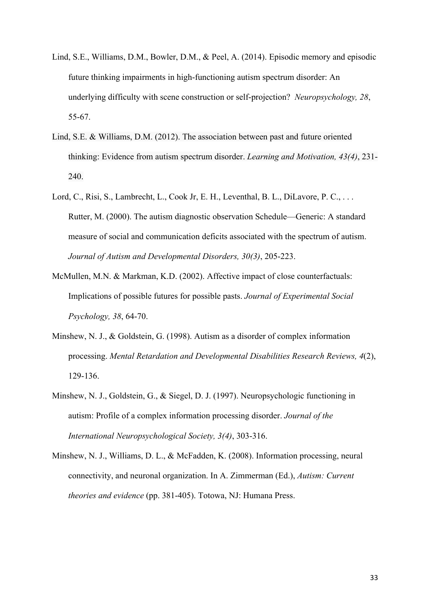- Lind, S.E., Williams, D.M., Bowler, D.M., & Peel, A. (2014). Episodic memory and episodic future thinking impairments in high-functioning autism spectrum disorder: An underlying difficulty with scene construction or self-projection? *Neuropsychology, 28*, 55-67.
- Lind, S.E. & Williams, D.M. (2012). The association between past and future oriented thinking: Evidence from autism spectrum disorder. *Learning and Motivation, 43(4)*, 231- 240.
- Lord, C., Risi, S., Lambrecht, L., Cook Jr, E. H., Leventhal, B. L., DiLavore, P. C., ... Rutter, M. (2000). The autism diagnostic observation Schedule—Generic: A standard measure of social and communication deficits associated with the spectrum of autism. *Journal of Autism and Developmental Disorders, 30(3)*, 205-223.
- McMullen, M.N. & Markman, K.D. (2002). Affective impact of close counterfactuals: Implications of possible futures for possible pasts. *Journal of Experimental Social Psychology, 38*, 64-70.
- Minshew, N. J., & Goldstein, G. (1998). Autism as a disorder of complex information processing. *Mental Retardation and Developmental Disabilities Research Reviews, 4*(2), 129-136.
- Minshew, N. J., Goldstein, G., & Siegel, D. J. (1997). Neuropsychologic functioning in autism: Profile of a complex information processing disorder. *Journal of the International Neuropsychological Society, 3(4)*, 303-316.
- Minshew, N. J., Williams, D. L., & McFadden, K. (2008). Information processing, neural connectivity, and neuronal organization. In A. Zimmerman (Ed.), *Autism: Current theories and evidence* (pp. 381-405). Totowa, NJ: Humana Press.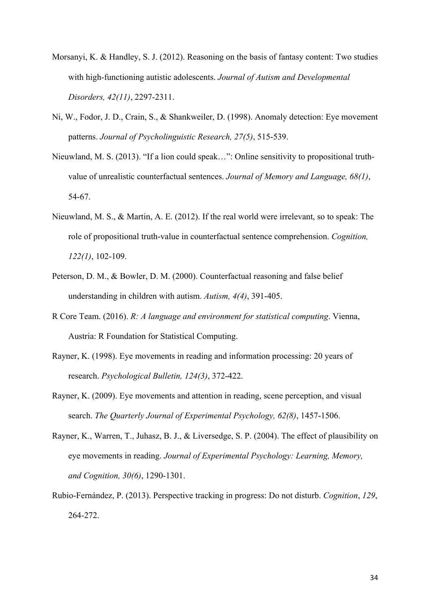- Morsanyi, K. & Handley, S. J. (2012). Reasoning on the basis of fantasy content: Two studies with high-functioning autistic adolescents. *Journal of Autism and Developmental Disorders, 42(11)*, 2297-2311.
- Ni, W., Fodor, J. D., Crain, S., & Shankweiler, D. (1998). Anomaly detection: Eye movement patterns. *Journal of Psycholinguistic Research, 27(5)*, 515-539.
- Nieuwland, M. S. (2013). "If a lion could speak…": Online sensitivity to propositional truthvalue of unrealistic counterfactual sentences. *Journal of Memory and Language, 68(1)*, 54-67.
- Nieuwland, M. S., & Martin, A. E. (2012). If the real world were irrelevant, so to speak: The role of propositional truth-value in counterfactual sentence comprehension. *Cognition, 122(1)*, 102-109.
- Peterson, D. M., & Bowler, D. M. (2000). Counterfactual reasoning and false belief understanding in children with autism. *Autism, 4(4)*, 391-405.
- R Core Team. (2016). *R: A language and environment for statistical computing*. Vienna, Austria: R Foundation for Statistical Computing.
- Rayner, K. (1998). Eye movements in reading and information processing: 20 years of research. *Psychological Bulletin, 124(3)*, 372-422.
- Rayner, K. (2009). Eye movements and attention in reading, scene perception, and visual search. *The Quarterly Journal of Experimental Psychology, 62(8)*, 1457-1506.
- Rayner, K., Warren, T., Juhasz, B. J., & Liversedge, S. P. (2004). The effect of plausibility on eye movements in reading. *Journal of Experimental Psychology: Learning, Memory, and Cognition, 30(6)*, 1290-1301.
- Rubio-Fernández, P. (2013). Perspective tracking in progress: Do not disturb. *Cognition*, *129*, 264-272.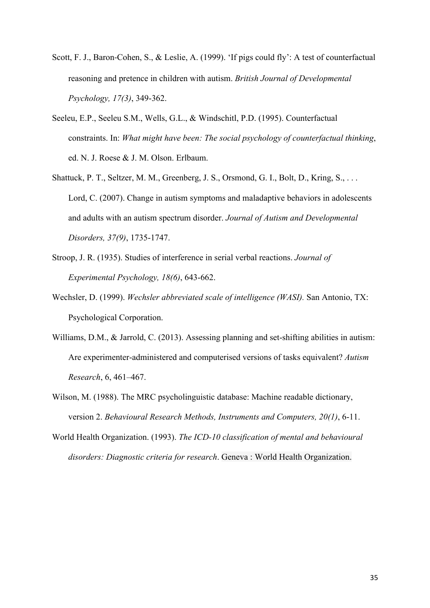- Scott, F. J., Baron-Cohen, S., & Leslie, A. (1999). 'If pigs could fly': A test of counterfactual reasoning and pretence in children with autism. *British Journal of Developmental Psychology, 17(3)*, 349-362.
- Seeleu, E.P., Seeleu S.M., Wells, G.L., & Windschitl, P.D. (1995). Counterfactual constraints. In: *What might have been: The social psychology of counterfactual thinking*, ed. N. J. Roese & J. M. Olson. Erlbaum.
- Shattuck, P. T., Seltzer, M. M., Greenberg, J. S., Orsmond, G. I., Bolt, D., Kring, S., ... Lord, C. (2007). Change in autism symptoms and maladaptive behaviors in adolescents and adults with an autism spectrum disorder. *Journal of Autism and Developmental Disorders, 37(9)*, 1735-1747.
- Stroop, J. R. (1935). Studies of interference in serial verbal reactions. *Journal of Experimental Psychology, 18(6)*, 643-662.
- Wechsler, D. (1999). *Wechsler abbreviated scale of intelligence (WASI).* San Antonio, TX: Psychological Corporation.
- Williams, D.M., & Jarrold, C. (2013). Assessing planning and set-shifting abilities in autism: Are experimenter-administered and computerised versions of tasks equivalent? *Autism Research*, 6, 461–467.
- Wilson, M. (1988). The MRC psycholinguistic database: Machine readable dictionary, version 2. *Behavioural Research Methods, Instruments and Computers, 20(1)*, 6-11.
- World Health Organization. (1993). *The ICD-10 classification of mental and behavioural disorders: Diagnostic criteria for research*. Geneva : World Health Organization.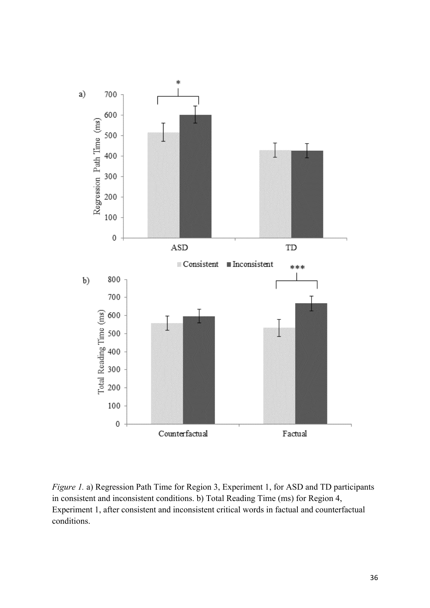

*Figure 1. a)* Regression Path Time for Region 3, Experiment 1, for ASD and TD participants in consistent and inconsistent conditions. b) Total Reading Time (ms) for Region 4, Experiment 1, after consistent and inconsistent critical words in factual and counterfactual conditions.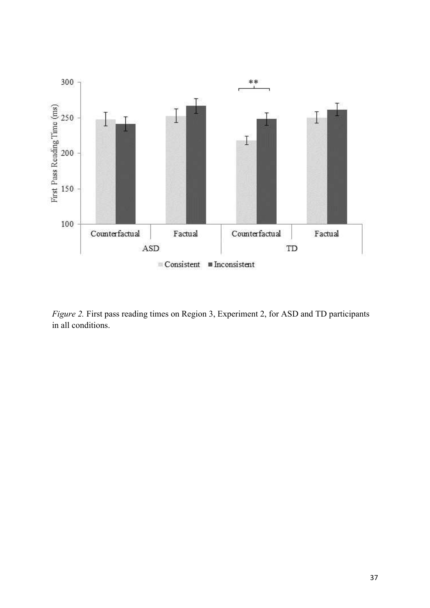

*Figure 2.* First pass reading times on Region 3, Experiment 2, for ASD and TD participants in all conditions.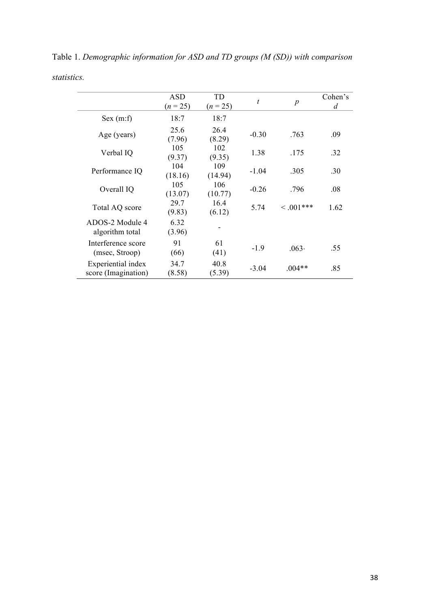|                                           | <b>ASD</b><br>$(n = 25)$ | TD<br>$(n = 25)$ | t       | $\boldsymbol{p}$ | Cohen's<br>$\overline{d}$ |
|-------------------------------------------|--------------------------|------------------|---------|------------------|---------------------------|
| Sex (m:f)                                 | 18:7                     | 18:7             |         |                  |                           |
| Age (years)                               | 25.6<br>(7.96)           | 26.4<br>(8.29)   | $-0.30$ | .763             | .09                       |
| Verbal IQ                                 | 105<br>(9.37)            | 102<br>(9.35)    | 1.38    | .175             | .32                       |
| Performance IQ                            | 104<br>(18.16)           | 109<br>(14.94)   | $-1.04$ | .305             | .30                       |
| Overall IQ                                | 105<br>(13.07)           | 106<br>(10.77)   | $-0.26$ | .796             | .08                       |
| Total AQ score                            | 29.7<br>(9.83)           | 16.4<br>(6.12)   | 5.74    | $\leq .001***$   | 1.62                      |
| ADOS-2 Module 4<br>algorithm total        | 6.32<br>(3.96)           |                  |         |                  |                           |
| Interference score<br>(msec, Stroop)      | 91<br>(66)               | 61<br>(41)       | $-1.9$  | $.063 -$         | .55                       |
| Experiential index<br>score (Imagination) | 34.7<br>(8.58)           | 40.8<br>(5.39)   | $-3.04$ | $.004**$         | .85                       |

Table 1. *Demographic information for ASD and TD groups (M (SD)) with comparison statistics.*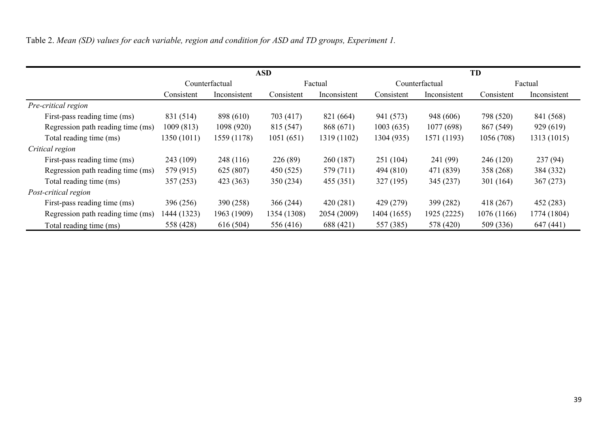|                                   | <b>ASD</b>     |              |             |              | <b>TD</b>      |              |             |              |  |
|-----------------------------------|----------------|--------------|-------------|--------------|----------------|--------------|-------------|--------------|--|
|                                   | Counterfactual |              | Factual     |              | Counterfactual |              | Factual     |              |  |
|                                   | Consistent     | Inconsistent | Consistent  | Inconsistent | Consistent     | Inconsistent | Consistent  | Inconsistent |  |
| Pre-critical region               |                |              |             |              |                |              |             |              |  |
| First-pass reading time (ms)      | 831 (514)      | 898 (610)    | 703 (417)   | 821 (664)    | 941 (573)      | 948 (606)    | 798 (520)   | 841 (568)    |  |
| Regression path reading time (ms) | 1009(813)      | 1098 (920)   | 815 (547)   | 868 (671)    | 1003(635)      | 1077 (698)   | 867 (549)   | 929 (619)    |  |
| Total reading time (ms)           | 1350 (1011)    | 1559 (1178)  | 1051(651)   | 1319 (1102)  | 1304 (935)     | 1571 (1193)  | 1056 (708)  | 1313 (1015)  |  |
| Critical region                   |                |              |             |              |                |              |             |              |  |
| First-pass reading time (ms)      | 243 (109)      | 248 (116)    | 226 (89)    | 260 (187)    | 251 (104)      | 241 (99)     | 246 (120)   | 237(94)      |  |
| Regression path reading time (ms) | 579 (915)      | 625 (807)    | 450 (525)   | 579 (711)    | 494 (810)      | 471 (839)    | 358 (268)   | 384 (332)    |  |
| Total reading time (ms)           | 357(253)       | 423 (363)    | 350 (234)   | 455 (351)    | 327(195)       | 345(237)     | 301(164)    | 367(273)     |  |
| Post-critical region              |                |              |             |              |                |              |             |              |  |
| First-pass reading time (ms)      | 396 (256)      | 390 (258)    | 366(244)    | 420(281)     | 429 (279)      | 399 (282)    | 418 (267)   | 452 (283)    |  |
| Regression path reading time (ms) | 1444 (1323)    | 1963 (1909)  | 1354 (1308) | 2054 (2009)  | 1404 (1655)    | 1925 (2225)  | 1076 (1166) | 1774 (1804)  |  |
| Total reading time (ms)           | 558 (428)      | 616(504)     | 556 (416)   | 688 (421)    | 557 (385)      | 578 (420)    | 509 (336)   | 647 (441)    |  |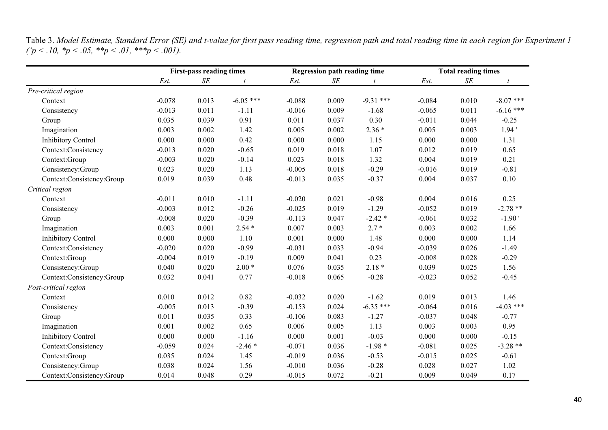Table 3. *Model Estimate, Standard Error (SE) and t-value for first pass reading time, regression path and total reading time in each region for Experiment 1*   $(p < .10, *p < .05, **p < .01, **p < .001).$ 

|                           |          | <b>First-pass reading times</b> |                  |          | Regression path reading time |                  |          | <b>Total reading times</b> |                  |
|---------------------------|----------|---------------------------------|------------------|----------|------------------------------|------------------|----------|----------------------------|------------------|
|                           | Est.     | $\cal SE$                       | $\boldsymbol{t}$ | Est.     | $\cal SE$                    | $\boldsymbol{t}$ | Est.     | $S\!E$                     | $\boldsymbol{t}$ |
| Pre-critical region       |          |                                 |                  |          |                              |                  |          |                            |                  |
| Context                   | $-0.078$ | 0.013                           | $-6.05$ ***      | $-0.088$ | 0.009                        | $-9.31$ ***      | $-0.084$ | 0.010                      | $-8.07$ ***      |
| Consistency               | $-0.013$ | 0.011                           | $-1.11$          | $-0.016$ | 0.009                        | $-1.68$          | $-0.065$ | 0.011                      | $-6.16$ ***      |
| Group                     | 0.035    | 0.039                           | 0.91             | 0.011    | 0.037                        | 0.30             | $-0.011$ | 0.044                      | $-0.25$          |
| Imagination               | 0.003    | 0.002                           | 1.42             | 0.005    | 0.002                        | $2.36*$          | 0.005    | 0.003                      | 1.94'            |
| <b>Inhibitory Control</b> | 0.000    | 0.000                           | 0.42             | 0.000    | 0.000                        | 1.15             | 0.000    | 0.000                      | 1.31             |
| Context:Consistency       | $-0.013$ | 0.020                           | $-0.65$          | 0.019    | 0.018                        | 1.07             | 0.012    | 0.019                      | 0.65             |
| Context:Group             | $-0.003$ | 0.020                           | $-0.14$          | 0.023    | 0.018                        | 1.32             | 0.004    | 0.019                      | 0.21             |
| Consistency:Group         | 0.023    | 0.020                           | 1.13             | $-0.005$ | 0.018                        | $-0.29$          | $-0.016$ | 0.019                      | $-0.81$          |
| Context:Consistency:Group | 0.019    | 0.039                           | 0.48             | $-0.013$ | 0.035                        | $-0.37$          | 0.004    | 0.037                      | $0.10\,$         |
| Critical region           |          |                                 |                  |          |                              |                  |          |                            |                  |
| Context                   | $-0.011$ | 0.010                           | $-1.11$          | $-0.020$ | 0.021                        | $-0.98$          | 0.004    | 0.016                      | 0.25             |
| Consistency               | $-0.003$ | 0.012                           | $-0.26$          | $-0.025$ | 0.019                        | $-1.29$          | $-0.052$ | 0.019                      | $-2.78$ **       |
| Group                     | $-0.008$ | 0.020                           | $-0.39$          | $-0.113$ | 0.047                        | $-2.42*$         | $-0.061$ | 0.032                      | $-1.90'$         |
| Imagination               | 0.003    | 0.001                           | $2.54*$          | 0.007    | 0.003                        | $2.7*$           | 0.003    | 0.002                      | 1.66             |
| <b>Inhibitory Control</b> | 0.000    | 0.000                           | 1.10             | 0.001    | 0.000                        | 1.48             | 0.000    | 0.000                      | 1.14             |
| Context:Consistency       | $-0.020$ | 0.020                           | $-0.99$          | $-0.031$ | 0.033                        | $-0.94$          | $-0.039$ | 0.026                      | $-1.49$          |
| Context:Group             | $-0.004$ | 0.019                           | $-0.19$          | 0.009    | 0.041                        | 0.23             | $-0.008$ | 0.028                      | $-0.29$          |
| Consistency:Group         | 0.040    | 0.020                           | $2.00*$          | 0.076    | 0.035                        | $2.18*$          | 0.039    | 0.025                      | 1.56             |
| Context:Consistency:Group | 0.032    | 0.041                           | 0.77             | $-0.018$ | 0.065                        | $-0.28$          | $-0.023$ | 0.052                      | $-0.45$          |
| Post-critical region      |          |                                 |                  |          |                              |                  |          |                            |                  |
| Context                   | 0.010    | 0.012                           | 0.82             | $-0.032$ | 0.020                        | $-1.62$          | 0.019    | 0.013                      | 1.46             |
| Consistency               | $-0.005$ | 0.013                           | $-0.39$          | $-0.153$ | 0.024                        | $-6.35$ ***      | $-0.064$ | 0.016                      | $-4.03$ ***      |
| Group                     | 0.011    | 0.035                           | 0.33             | $-0.106$ | 0.083                        | $-1.27$          | $-0.037$ | 0.048                      | $-0.77$          |
| Imagination               | 0.001    | 0.002                           | 0.65             | 0.006    | 0.005                        | 1.13             | 0.003    | 0.003                      | 0.95             |
| <b>Inhibitory Control</b> | 0.000    | 0.000                           | $-1.16$          | 0.000    | 0.001                        | $-0.03$          | 0.000    | 0.000                      | $-0.15$          |
| Context:Consistency       | $-0.059$ | 0.024                           | $-2.46*$         | $-0.071$ | 0.036                        | $-1.98*$         | $-0.081$ | 0.025                      | $-3.28**$        |
| Context:Group             | 0.035    | 0.024                           | 1.45             | $-0.019$ | 0.036                        | $-0.53$          | $-0.015$ | 0.025                      | $-0.61$          |
| Consistency:Group         | 0.038    | 0.024                           | 1.56             | $-0.010$ | 0.036                        | $-0.28$          | 0.028    | 0.027                      | 1.02             |
| Context:Consistency:Group | 0.014    | 0.048                           | 0.29             | $-0.015$ | 0.072                        | $-0.21$          | 0.009    | 0.049                      | 0.17             |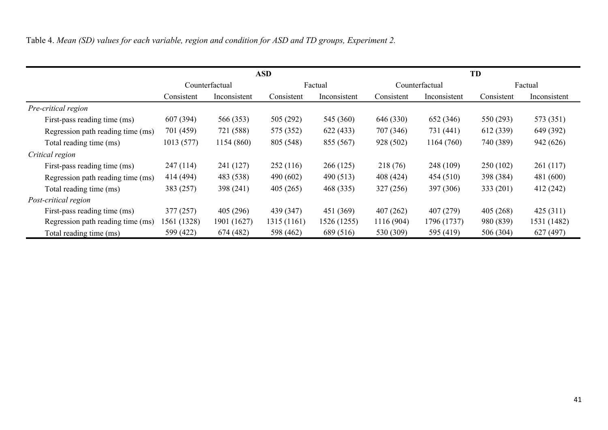|                                   | <b>ASD</b>     |              |                            |             | <b>TD</b>      |              |           |              |  |
|-----------------------------------|----------------|--------------|----------------------------|-------------|----------------|--------------|-----------|--------------|--|
|                                   | Counterfactual |              | Factual                    |             | Counterfactual |              | Factual   |              |  |
|                                   | Consistent     | Inconsistent | Consistent<br>Inconsistent |             | Consistent     | Inconsistent |           | Inconsistent |  |
| Pre-critical region               |                |              |                            |             |                |              |           |              |  |
| First-pass reading time (ms)      | 607 (394)      | 566 (353)    | 505 (292)                  | 545 (360)   | 646 (330)      | 652 (346)    | 550 (293) | 573 (351)    |  |
| Regression path reading time (ms) | 701 (459)      | 721 (588)    | 575 (352)                  | 622 (433)   | 707 (346)      | 731 (441)    | 612 (339) | 649 (392)    |  |
| Total reading time (ms)           | 1013(577)      | 1154 (860)   | 805 (548)                  | 855 (567)   | 928 (502)      | 1164 (760)   | 740 (389) | 942 (626)    |  |
| Critical region                   |                |              |                            |             |                |              |           |              |  |
| First-pass reading time (ms)      | 247(114)       | 241 (127)    | 252(116)                   | 266(125)    | 218 (76)       | 248 (109)    | 250(102)  | 261(117)     |  |
| Regression path reading time (ms) | 414 (494)      | 483 (538)    | 490 (602)                  | 490 (513)   | 408 (424)      | 454 (510)    | 398 (384) | 481 (600)    |  |
| Total reading time (ms)           | 383 (257)      | 398 (241)    | 405(265)                   | 468 (335)   | 327(256)       | 397 (306)    | 333 (201) | 412 (242)    |  |
| Post-critical region              |                |              |                            |             |                |              |           |              |  |
| First-pass reading time (ms)      | 377(257)       | 405 (296)    | 439 (347)                  | 451 (369)   | 407(262)       | 407 (279)    | 405 (268) | 425(311)     |  |
| Regression path reading time (ms) | 1561 (1328)    | 1901 (1627)  | 1315 (1161)                | 1526 (1255) | 1116(904)      | 1796 (1737)  | 980 (839) | 1531 (1482)  |  |
| Total reading time (ms)           | 599 (422)      | 674 (482)    | 598 (462)                  | 689 (516)   | 530 (309)      | 595 (419)    | 506 (304) | 627 (497)    |  |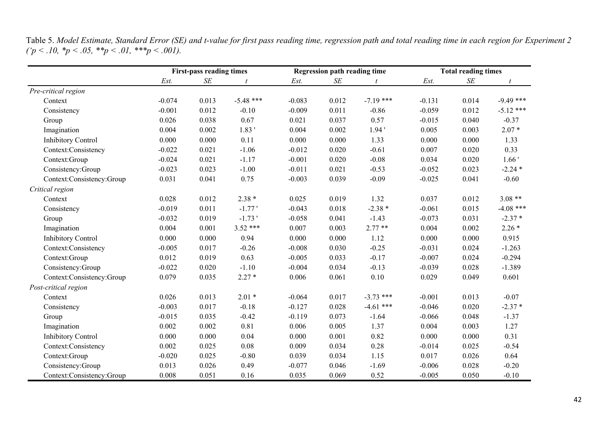Table 5. *Model Estimate, Standard Error (SE) and t-value for first pass reading time, regression path and total reading time in each region for Experiment 2*   $(p < .10, *p < .05, **p < .01, **p < .001).$ 

|                           |          | <b>First-pass reading times</b> |                  |          | <b>Regression path reading time</b> |                |          | <b>Total reading times</b> |                  |
|---------------------------|----------|---------------------------------|------------------|----------|-------------------------------------|----------------|----------|----------------------------|------------------|
|                           | Est.     | $S\!E$                          | $\boldsymbol{t}$ | Est.     | $\cal SE$                           | $\mathfrak{t}$ | Est.     | SE                         | $\boldsymbol{t}$ |
| Pre-critical region       |          |                                 |                  |          |                                     |                |          |                            |                  |
| Context                   | $-0.074$ | 0.013                           | $-5.48$ ***      | $-0.083$ | 0.012                               | $-7.19$ ***    | $-0.131$ | 0.014                      | $-9.49$ ***      |
| Consistency               | $-0.001$ | 0.012                           | $-0.10$          | $-0.009$ | 0.011                               | $-0.86$        | $-0.059$ | 0.012                      | $-5.12$ ***      |
| Group                     | 0.026    | 0.038                           | 0.67             | 0.021    | 0.037                               | 0.57           | $-0.015$ | 0.040                      | $-0.37$          |
| Imagination               | 0.004    | 0.002                           | 1.83'            | 0.004    | 0.002                               | 1.94'          | 0.005    | 0.003                      | $2.07*$          |
| <b>Inhibitory Control</b> | 0.000    | 0.000                           | 0.11             | 0.000    | 0.000                               | 1.33           | 0.000    | 0.000                      | 1.33             |
| Context:Consistency       | $-0.022$ | 0.021                           | $-1.06$          | $-0.012$ | 0.020                               | $-0.61$        | 0.007    | 0.020                      | 0.33             |
| Context:Group             | $-0.024$ | 0.021                           | $-1.17$          | $-0.001$ | 0.020                               | $-0.08$        | 0.034    | 0.020                      | 1.66'            |
| Consistency:Group         | $-0.023$ | 0.023                           | $-1.00$          | $-0.011$ | 0.021                               | $-0.53$        | $-0.052$ | 0.023                      | $-2.24*$         |
| Context:Consistency:Group | 0.031    | 0.041                           | 0.75             | $-0.003$ | 0.039                               | $-0.09$        | $-0.025$ | 0.041                      | $-0.60$          |
| Critical region           |          |                                 |                  |          |                                     |                |          |                            |                  |
| Context                   | 0.028    | 0.012                           | $2.38*$          | 0.025    | 0.019                               | 1.32           | 0.037    | 0.012                      | $3.08**$         |
| Consistency               | $-0.019$ | 0.011                           | $-1.77$          | $-0.043$ | 0.018                               | $-2.38*$       | $-0.061$ | 0.015                      | $-4.08$ ***      |
| Group                     | $-0.032$ | 0.019                           | $-1.73$          | $-0.058$ | 0.041                               | $-1.43$        | $-0.073$ | 0.031                      | $-2.37*$         |
| Imagination               | 0.004    | 0.001                           | $3.52$ ***       | 0.007    | 0.003                               | $2.77**$       | 0.004    | 0.002                      | $2.26*$          |
| <b>Inhibitory Control</b> | 0.000    | 0.000                           | 0.94             | 0.000    | 0.000                               | 1.12           | 0.000    | 0.000                      | 0.915            |
| Context:Consistency       | $-0.005$ | 0.017                           | $-0.26$          | $-0.008$ | 0.030                               | $-0.25$        | $-0.031$ | 0.024                      | $-1.263$         |
| Context:Group             | 0.012    | 0.019                           | 0.63             | $-0.005$ | 0.033                               | $-0.17$        | $-0.007$ | 0.024                      | $-0.294$         |
| Consistency:Group         | $-0.022$ | 0.020                           | $-1.10$          | $-0.004$ | 0.034                               | $-0.13$        | $-0.039$ | 0.028                      | $-1.389$         |
| Context:Consistency:Group | 0.079    | 0.035                           | $2.27*$          | 0.006    | 0.061                               | 0.10           | 0.029    | 0.049                      | 0.601            |
| Post-critical region      |          |                                 |                  |          |                                     |                |          |                            |                  |
| Context                   | 0.026    | 0.013                           | $2.01*$          | $-0.064$ | 0.017                               | $-3.73$ ***    | $-0.001$ | 0.013                      | $-0.07$          |
| Consistency               | $-0.003$ | 0.017                           | $-0.18$          | $-0.127$ | 0.028                               | $-4.61$ ***    | $-0.046$ | 0.020                      | $-2.37*$         |
| Group                     | $-0.015$ | 0.035                           | $-0.42$          | $-0.119$ | 0.073                               | $-1.64$        | $-0.066$ | 0.048                      | $-1.37$          |
| Imagination               | 0.002    | 0.002                           | 0.81             | 0.006    | 0.005                               | 1.37           | 0.004    | 0.003                      | 1.27             |
| <b>Inhibitory Control</b> | 0.000    | 0.000                           | 0.04             | 0.000    | 0.001                               | 0.82           | 0.000    | 0.000                      | 0.31             |
| Context:Consistency       | 0.002    | 0.025                           | 0.08             | 0.009    | 0.034                               | 0.28           | $-0.014$ | 0.025                      | $-0.54$          |
| Context:Group             | $-0.020$ | 0.025                           | $-0.80$          | 0.039    | 0.034                               | 1.15           | 0.017    | 0.026                      | 0.64             |
| Consistency:Group         | 0.013    | 0.026                           | 0.49             | $-0.077$ | 0.046                               | $-1.69$        | $-0.006$ | 0.028                      | $-0.20$          |
| Context:Consistency:Group | 0.008    | 0.051                           | 0.16             | 0.035    | 0.069                               | 0.52           | $-0.005$ | 0.050                      | $-0.10$          |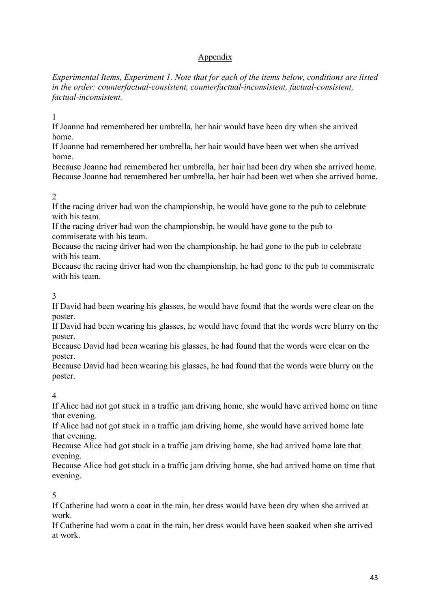## Appendix

*Experimental Items, Experiment 1. Note that for each of the items below, conditions are listed in the order: counterfactual-consistent, counterfactual-inconsistent, factual-consistent, factual-inconsistent.* 

1

If Joanne had remembered her umbrella, her hair would have been dry when she arrived home.

If Joanne had remembered her umbrella, her hair would have been wet when she arrived home.

Because Joanne had remembered her umbrella, her hair had been dry when she arrived home. Because Joanne had remembered her umbrella, her hair had been wet when she arrived home.

## $\mathcal{L}$

If the racing driver had won the championship, he would have gone to the pub to celebrate with his team.

If the racing driver had won the championship, he would have gone to the pub to commiserate with his team.

Because the racing driver had won the championship, he had gone to the pub to celebrate with his team.

Because the racing driver had won the championship, he had gone to the pub to commiserate with his team.

## 3

If David had been wearing his glasses, he would have found that the words were clear on the poster.

If David had been wearing his glasses, he would have found that the words were blurry on the poster.

Because David had been wearing his glasses, he had found that the words were clear on the poster.

Because David had been wearing his glasses, he had found that the words were blurry on the poster.

## 4

If Alice had not got stuck in a traffic jam driving home, she would have arrived home on time that evening.

If Alice had not got stuck in a traffic jam driving home, she would have arrived home late that evening.

Because Alice had got stuck in a traffic jam driving home, she had arrived home late that evening.

Because Alice had got stuck in a traffic jam driving home, she had arrived home on time that evening.

## 5

If Catherine had worn a coat in the rain, her dress would have been dry when she arrived at work.

If Catherine had worn a coat in the rain, her dress would have been soaked when she arrived at work.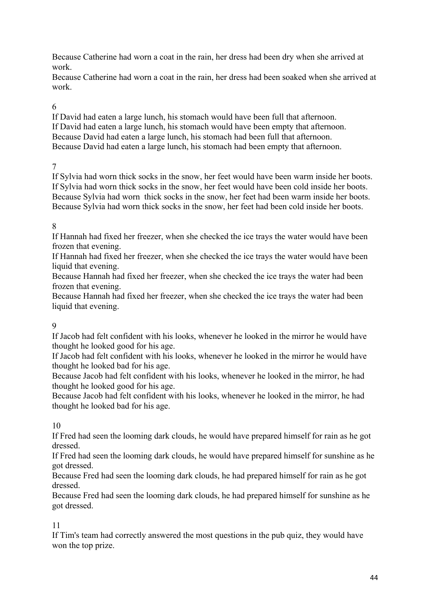Because Catherine had worn a coat in the rain, her dress had been dry when she arrived at work.

Because Catherine had worn a coat in the rain, her dress had been soaked when she arrived at work.

## 6

If David had eaten a large lunch, his stomach would have been full that afternoon. If David had eaten a large lunch, his stomach would have been empty that afternoon. Because David had eaten a large lunch, his stomach had been full that afternoon. Because David had eaten a large lunch, his stomach had been empty that afternoon.

## 7

If Sylvia had worn thick socks in the snow, her feet would have been warm inside her boots. If Sylvia had worn thick socks in the snow, her feet would have been cold inside her boots. Because Sylvia had worn thick socks in the snow, her feet had been warm inside her boots. Because Sylvia had worn thick socks in the snow, her feet had been cold inside her boots.

#### 8

If Hannah had fixed her freezer, when she checked the ice trays the water would have been frozen that evening.

If Hannah had fixed her freezer, when she checked the ice trays the water would have been liquid that evening.

Because Hannah had fixed her freezer, when she checked the ice trays the water had been frozen that evening.

Because Hannah had fixed her freezer, when she checked the ice trays the water had been liquid that evening.

## 9

If Jacob had felt confident with his looks, whenever he looked in the mirror he would have thought he looked good for his age.

If Jacob had felt confident with his looks, whenever he looked in the mirror he would have thought he looked bad for his age.

Because Jacob had felt confident with his looks, whenever he looked in the mirror, he had thought he looked good for his age.

Because Jacob had felt confident with his looks, whenever he looked in the mirror, he had thought he looked bad for his age.

#### 10

If Fred had seen the looming dark clouds, he would have prepared himself for rain as he got dressed.

If Fred had seen the looming dark clouds, he would have prepared himself for sunshine as he got dressed.

Because Fred had seen the looming dark clouds, he had prepared himself for rain as he got dressed.

Because Fred had seen the looming dark clouds, he had prepared himself for sunshine as he got dressed.

#### 11

If Tim's team had correctly answered the most questions in the pub quiz, they would have won the top prize.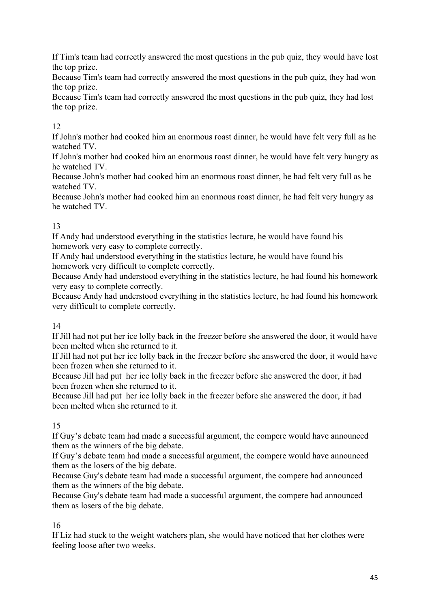If Tim's team had correctly answered the most questions in the pub quiz, they would have lost the top prize.

Because Tim's team had correctly answered the most questions in the pub quiz, they had won the top prize.

Because Tim's team had correctly answered the most questions in the pub quiz, they had lost the top prize.

## 12

If John's mother had cooked him an enormous roast dinner, he would have felt very full as he watched TV.

If John's mother had cooked him an enormous roast dinner, he would have felt very hungry as he watched TV.

Because John's mother had cooked him an enormous roast dinner, he had felt very full as he watched TV.

Because John's mother had cooked him an enormous roast dinner, he had felt very hungry as he watched TV.

## 13

If Andy had understood everything in the statistics lecture, he would have found his homework very easy to complete correctly.

If Andy had understood everything in the statistics lecture, he would have found his homework very difficult to complete correctly.

Because Andy had understood everything in the statistics lecture, he had found his homework very easy to complete correctly.

Because Andy had understood everything in the statistics lecture, he had found his homework very difficult to complete correctly.

## 14

If Jill had not put her ice lolly back in the freezer before she answered the door, it would have been melted when she returned to it.

If Jill had not put her ice lolly back in the freezer before she answered the door, it would have been frozen when she returned to it.

Because Jill had put her ice lolly back in the freezer before she answered the door, it had been frozen when she returned to it.

Because Jill had put her ice lolly back in the freezer before she answered the door, it had been melted when she returned to it.

## 15

If Guy's debate team had made a successful argument, the compere would have announced them as the winners of the big debate.

If Guy's debate team had made a successful argument, the compere would have announced them as the losers of the big debate.

Because Guy's debate team had made a successful argument, the compere had announced them as the winners of the big debate.

Because Guy's debate team had made a successful argument, the compere had announced them as losers of the big debate.

## 16

If Liz had stuck to the weight watchers plan, she would have noticed that her clothes were feeling loose after two weeks.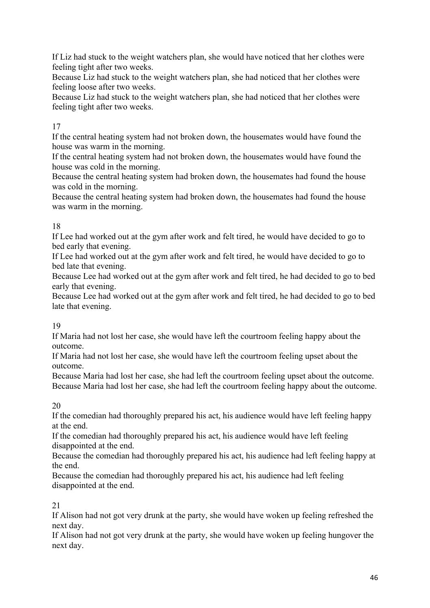If Liz had stuck to the weight watchers plan, she would have noticed that her clothes were feeling tight after two weeks.

Because Liz had stuck to the weight watchers plan, she had noticed that her clothes were feeling loose after two weeks.

Because Liz had stuck to the weight watchers plan, she had noticed that her clothes were feeling tight after two weeks.

## 17

If the central heating system had not broken down, the housemates would have found the house was warm in the morning.

If the central heating system had not broken down, the housemates would have found the house was cold in the morning.

Because the central heating system had broken down, the housemates had found the house was cold in the morning.

Because the central heating system had broken down, the housemates had found the house was warm in the morning.

## 18

If Lee had worked out at the gym after work and felt tired, he would have decided to go to bed early that evening.

If Lee had worked out at the gym after work and felt tired, he would have decided to go to bed late that evening.

Because Lee had worked out at the gym after work and felt tired, he had decided to go to bed early that evening.

Because Lee had worked out at the gym after work and felt tired, he had decided to go to bed late that evening.

## 19

If Maria had not lost her case, she would have left the courtroom feeling happy about the outcome.

If Maria had not lost her case, she would have left the courtroom feeling upset about the outcome.

Because Maria had lost her case, she had left the courtroom feeling upset about the outcome. Because Maria had lost her case, she had left the courtroom feeling happy about the outcome.

## 20

If the comedian had thoroughly prepared his act, his audience would have left feeling happy at the end.

If the comedian had thoroughly prepared his act, his audience would have left feeling disappointed at the end.

Because the comedian had thoroughly prepared his act, his audience had left feeling happy at the end.

Because the comedian had thoroughly prepared his act, his audience had left feeling disappointed at the end.

#### 21

If Alison had not got very drunk at the party, she would have woken up feeling refreshed the next day.

If Alison had not got very drunk at the party, she would have woken up feeling hungover the next day.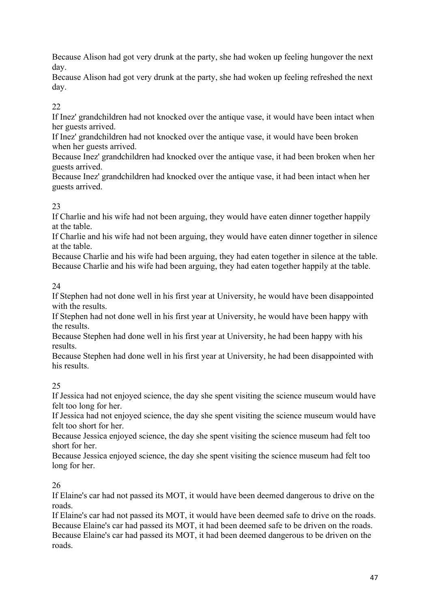Because Alison had got very drunk at the party, she had woken up feeling hungover the next day.

Because Alison had got very drunk at the party, she had woken up feeling refreshed the next day.

## 22

If Inez' grandchildren had not knocked over the antique vase, it would have been intact when her guests arrived.

If Inez' grandchildren had not knocked over the antique vase, it would have been broken when her guests arrived.

Because Inez' grandchildren had knocked over the antique vase, it had been broken when her guests arrived.

Because Inez' grandchildren had knocked over the antique vase, it had been intact when her guests arrived.

## 23

If Charlie and his wife had not been arguing, they would have eaten dinner together happily at the table.

If Charlie and his wife had not been arguing, they would have eaten dinner together in silence at the table.

Because Charlie and his wife had been arguing, they had eaten together in silence at the table. Because Charlie and his wife had been arguing, they had eaten together happily at the table.

## 24

If Stephen had not done well in his first year at University, he would have been disappointed with the results.

If Stephen had not done well in his first year at University, he would have been happy with the results.

Because Stephen had done well in his first year at University, he had been happy with his results.

Because Stephen had done well in his first year at University, he had been disappointed with his results.

## 25

If Jessica had not enjoyed science, the day she spent visiting the science museum would have felt too long for her.

If Jessica had not enjoyed science, the day she spent visiting the science museum would have felt too short for her.

Because Jessica enjoyed science, the day she spent visiting the science museum had felt too short for her.

Because Jessica enjoyed science, the day she spent visiting the science museum had felt too long for her.

## 26

If Elaine's car had not passed its MOT, it would have been deemed dangerous to drive on the roads.

If Elaine's car had not passed its MOT, it would have been deemed safe to drive on the roads. Because Elaine's car had passed its MOT, it had been deemed safe to be driven on the roads. Because Elaine's car had passed its MOT, it had been deemed dangerous to be driven on the roads.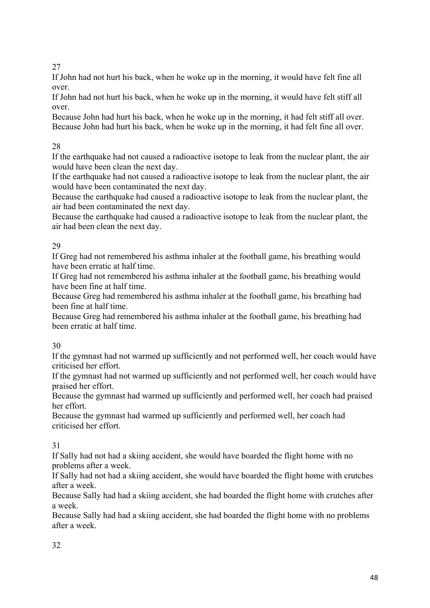27

If John had not hurt his back, when he woke up in the morning, it would have felt fine all over.

If John had not hurt his back, when he woke up in the morning, it would have felt stiff all over.

Because John had hurt his back, when he woke up in the morning, it had felt stiff all over. Because John had hurt his back, when he woke up in the morning, it had felt fine all over.

## 28

If the earthquake had not caused a radioactive isotope to leak from the nuclear plant, the air would have been clean the next day.

If the earthquake had not caused a radioactive isotope to leak from the nuclear plant, the air would have been contaminated the next day.

Because the earthquake had caused a radioactive isotope to leak from the nuclear plant, the air had been contaminated the next day.

Because the earthquake had caused a radioactive isotope to leak from the nuclear plant, the air had been clean the next day.

## 29

If Greg had not remembered his asthma inhaler at the football game, his breathing would have been erratic at half time.

If Greg had not remembered his asthma inhaler at the football game, his breathing would have been fine at half time.

Because Greg had remembered his asthma inhaler at the football game, his breathing had been fine at half time.

Because Greg had remembered his asthma inhaler at the football game, his breathing had been erratic at half time.

## 30

If the gymnast had not warmed up sufficiently and not performed well, her coach would have criticised her effort.

If the gymnast had not warmed up sufficiently and not performed well, her coach would have praised her effort.

Because the gymnast had warmed up sufficiently and performed well, her coach had praised her effort.

Because the gymnast had warmed up sufficiently and performed well, her coach had criticised her effort.

## 31

If Sally had not had a skiing accident, she would have boarded the flight home with no problems after a week.

If Sally had not had a skiing accident, she would have boarded the flight home with crutches after a week.

Because Sally had had a skiing accident, she had boarded the flight home with crutches after a week.

Because Sally had had a skiing accident, she had boarded the flight home with no problems after a week.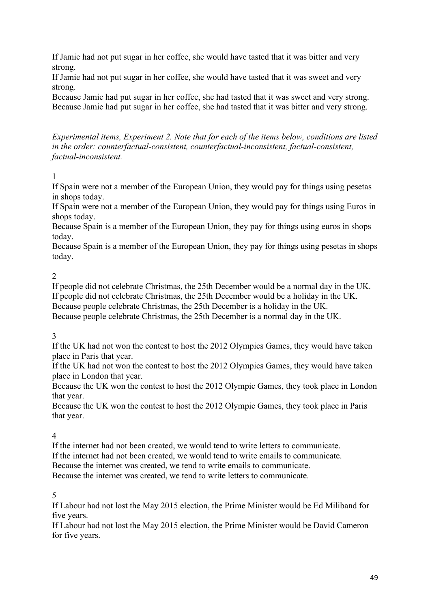If Jamie had not put sugar in her coffee, she would have tasted that it was bitter and very strong.

If Jamie had not put sugar in her coffee, she would have tasted that it was sweet and very strong.

Because Jamie had put sugar in her coffee, she had tasted that it was sweet and very strong. Because Jamie had put sugar in her coffee, she had tasted that it was bitter and very strong.

*Experimental items, Experiment 2. Note that for each of the items below, conditions are listed in the order: counterfactual-consistent, counterfactual-inconsistent, factual-consistent, factual-inconsistent.*

#### 1

If Spain were not a member of the European Union, they would pay for things using pesetas in shops today.

If Spain were not a member of the European Union, they would pay for things using Euros in shops today.

Because Spain is a member of the European Union, they pay for things using euros in shops today.

Because Spain is a member of the European Union, they pay for things using pesetas in shops today.

#### 2

If people did not celebrate Christmas, the 25th December would be a normal day in the UK. If people did not celebrate Christmas, the 25th December would be a holiday in the UK. Because people celebrate Christmas, the 25th December is a holiday in the UK. Because people celebrate Christmas, the 25th December is a normal day in the UK.

#### 3

If the UK had not won the contest to host the 2012 Olympics Games, they would have taken place in Paris that year.

If the UK had not won the contest to host the 2012 Olympics Games, they would have taken place in London that year.

Because the UK won the contest to host the 2012 Olympic Games, they took place in London that year.

Because the UK won the contest to host the 2012 Olympic Games, they took place in Paris that year.

#### 4

If the internet had not been created, we would tend to write letters to communicate. If the internet had not been created, we would tend to write emails to communicate. Because the internet was created, we tend to write emails to communicate. Because the internet was created, we tend to write letters to communicate.

#### 5

If Labour had not lost the May 2015 election, the Prime Minister would be Ed Miliband for five years.

If Labour had not lost the May 2015 election, the Prime Minister would be David Cameron for five years.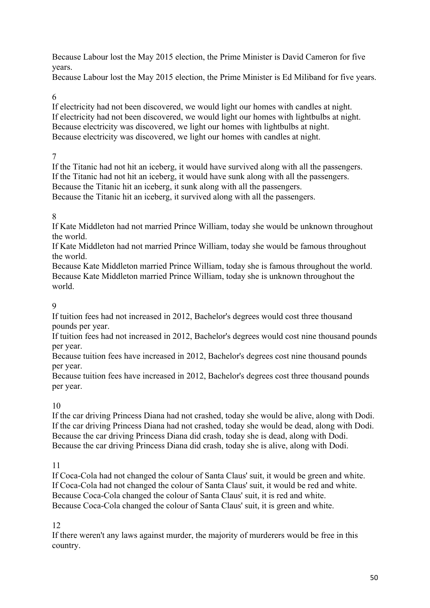Because Labour lost the May 2015 election, the Prime Minister is David Cameron for five years.

Because Labour lost the May 2015 election, the Prime Minister is Ed Miliband for five years.

## 6

If electricity had not been discovered, we would light our homes with candles at night. If electricity had not been discovered, we would light our homes with lightbulbs at night. Because electricity was discovered, we light our homes with lightbulbs at night. Because electricity was discovered, we light our homes with candles at night.

## 7

If the Titanic had not hit an iceberg, it would have survived along with all the passengers. If the Titanic had not hit an iceberg, it would have sunk along with all the passengers. Because the Titanic hit an iceberg, it sunk along with all the passengers. Because the Titanic hit an iceberg, it survived along with all the passengers.

## 8

If Kate Middleton had not married Prince William, today she would be unknown throughout the world.

If Kate Middleton had not married Prince William, today she would be famous throughout the world.

Because Kate Middleton married Prince William, today she is famous throughout the world. Because Kate Middleton married Prince William, today she is unknown throughout the world.

## 9

If tuition fees had not increased in 2012, Bachelor's degrees would cost three thousand pounds per year.

If tuition fees had not increased in 2012, Bachelor's degrees would cost nine thousand pounds per year.

Because tuition fees have increased in 2012, Bachelor's degrees cost nine thousand pounds per year.

Because tuition fees have increased in 2012, Bachelor's degrees cost three thousand pounds per year.

## 10

If the car driving Princess Diana had not crashed, today she would be alive, along with Dodi. If the car driving Princess Diana had not crashed, today she would be dead, along with Dodi. Because the car driving Princess Diana did crash, today she is dead, along with Dodi. Because the car driving Princess Diana did crash, today she is alive, along with Dodi.

#### 11

If Coca-Cola had not changed the colour of Santa Claus' suit, it would be green and white. If Coca-Cola had not changed the colour of Santa Claus' suit, it would be red and white. Because Coca-Cola changed the colour of Santa Claus' suit, it is red and white. Because Coca-Cola changed the colour of Santa Claus' suit, it is green and white.

#### 12

If there weren't any laws against murder, the majority of murderers would be free in this country.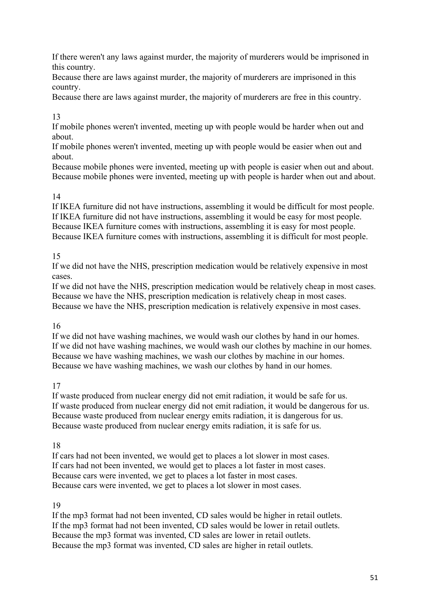If there weren't any laws against murder, the majority of murderers would be imprisoned in this country.

Because there are laws against murder, the majority of murderers are imprisoned in this country.

Because there are laws against murder, the majority of murderers are free in this country.

#### 13

If mobile phones weren't invented, meeting up with people would be harder when out and about.

If mobile phones weren't invented, meeting up with people would be easier when out and about.

Because mobile phones were invented, meeting up with people is easier when out and about. Because mobile phones were invented, meeting up with people is harder when out and about.

## 14

If IKEA furniture did not have instructions, assembling it would be difficult for most people. If IKEA furniture did not have instructions, assembling it would be easy for most people. Because IKEA furniture comes with instructions, assembling it is easy for most people. Because IKEA furniture comes with instructions, assembling it is difficult for most people.

#### 15

If we did not have the NHS, prescription medication would be relatively expensive in most cases.

If we did not have the NHS, prescription medication would be relatively cheap in most cases. Because we have the NHS, prescription medication is relatively cheap in most cases. Because we have the NHS, prescription medication is relatively expensive in most cases.

#### 16

If we did not have washing machines, we would wash our clothes by hand in our homes. If we did not have washing machines, we would wash our clothes by machine in our homes. Because we have washing machines, we wash our clothes by machine in our homes. Because we have washing machines, we wash our clothes by hand in our homes.

#### 17

If waste produced from nuclear energy did not emit radiation, it would be safe for us. If waste produced from nuclear energy did not emit radiation, it would be dangerous for us. Because waste produced from nuclear energy emits radiation, it is dangerous for us. Because waste produced from nuclear energy emits radiation, it is safe for us.

#### 18

If cars had not been invented, we would get to places a lot slower in most cases. If cars had not been invented, we would get to places a lot faster in most cases. Because cars were invented, we get to places a lot faster in most cases. Because cars were invented, we get to places a lot slower in most cases.

#### 19

If the mp3 format had not been invented, CD sales would be higher in retail outlets. If the mp3 format had not been invented, CD sales would be lower in retail outlets. Because the mp3 format was invented, CD sales are lower in retail outlets. Because the mp3 format was invented, CD sales are higher in retail outlets.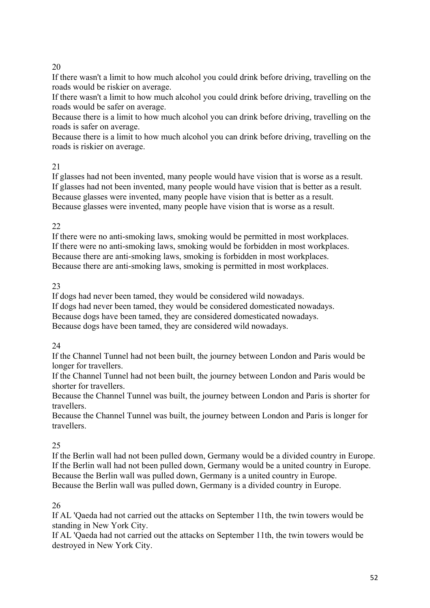#### 20

If there wasn't a limit to how much alcohol you could drink before driving, travelling on the roads would be riskier on average.

If there wasn't a limit to how much alcohol you could drink before driving, travelling on the roads would be safer on average.

Because there is a limit to how much alcohol you can drink before driving, travelling on the roads is safer on average.

Because there is a limit to how much alcohol you can drink before driving, travelling on the roads is riskier on average.

## 21

If glasses had not been invented, many people would have vision that is worse as a result. If glasses had not been invented, many people would have vision that is better as a result. Because glasses were invented, many people have vision that is better as a result. Because glasses were invented, many people have vision that is worse as a result.

#### 22

If there were no anti-smoking laws, smoking would be permitted in most workplaces. If there were no anti-smoking laws, smoking would be forbidden in most workplaces. Because there are anti-smoking laws, smoking is forbidden in most workplaces. Because there are anti-smoking laws, smoking is permitted in most workplaces.

#### 23

If dogs had never been tamed, they would be considered wild nowadays. If dogs had never been tamed, they would be considered domesticated nowadays. Because dogs have been tamed, they are considered domesticated nowadays. Because dogs have been tamed, they are considered wild nowadays.

## 24

If the Channel Tunnel had not been built, the journey between London and Paris would be longer for travellers.

If the Channel Tunnel had not been built, the journey between London and Paris would be shorter for travellers.

Because the Channel Tunnel was built, the journey between London and Paris is shorter for travellers.

Because the Channel Tunnel was built, the journey between London and Paris is longer for travellers.

## 25

If the Berlin wall had not been pulled down, Germany would be a divided country in Europe. If the Berlin wall had not been pulled down, Germany would be a united country in Europe. Because the Berlin wall was pulled down, Germany is a united country in Europe. Because the Berlin wall was pulled down, Germany is a divided country in Europe.

#### 26

If AL 'Qaeda had not carried out the attacks on September 11th, the twin towers would be standing in New York City.

If AL 'Qaeda had not carried out the attacks on September 11th, the twin towers would be destroyed in New York City.